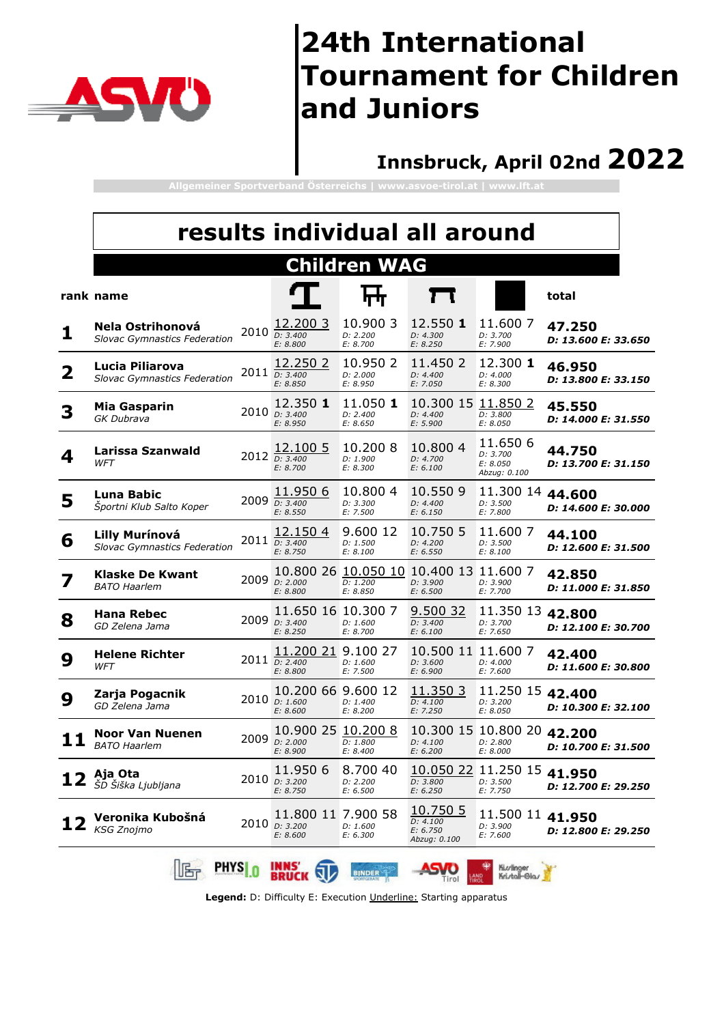

#### **Innsbruck, April 02nd 2022**

**Allgemeiner Sportverband Österreichs | www.asvoe-tirol.at | www.lft.at**

|   |                                                              |        |                                                       |                                  | results individual all around                                  |                                                    |                               |
|---|--------------------------------------------------------------|--------|-------------------------------------------------------|----------------------------------|----------------------------------------------------------------|----------------------------------------------------|-------------------------------|
|   |                                                              |        |                                                       | <b>Children WAG</b>              |                                                                |                                                    |                               |
|   | rank name                                                    |        |                                                       |                                  |                                                                |                                                    | total                         |
| 1 | Nela Ostrihonová<br><b>Slovac Gymnastics Federation</b>      |        | 12.200 3<br>$2010$ $\overline{D: 3.400}$<br>E: 8.800  | 10.900 3<br>D: 2.200<br>E: 8.700 | 12.550 1<br>D: 4.300<br>E: 8.250                               | 11.600 7<br>D: 3.700<br>E: 7.900                   | 47.250<br>D: 13.600 E: 33.650 |
| 2 | Lucia Piliarova<br><b>Slovac Gymnastics Federation</b>       |        | 12,250 2<br>2011 D: 3.400<br>E: 8.850                 | 10.950 2<br>D: 2.000<br>E: 8.950 | 11.450 2<br>D: 4.400<br>E: 7.050                               | 12,300 1<br>D: 4.000<br>E: 8.300                   | 46.950<br>D: 13.800 E: 33.150 |
| 3 | Mia Gasparin<br>GK Dubrava                                   |        | 12.350 1<br>2010 D: 3.400<br>E: 8.950                 | 11.050 1<br>D: 2.400<br>E: 8.650 | 10.300 15 11.850 2<br>D: 4.400<br>E: 5.900                     | D: 3.800<br>E: 8.050                               | 45.550<br>D: 14.000 E: 31.550 |
| 4 | Larissa Szanwald<br>WFT                                      |        | 12.100 5<br>2012 D: 3.400<br>E: 8.700                 | 10.2008<br>D: 1.900<br>E: 8.300  | 10.800 4<br>D: 4.700<br>E: 6.100                               | 11.650 6<br>D: 3.700<br>E: 8.050<br>Abzug: 0.100   | 44.750<br>D: 13.700 E: 31.150 |
| 5 | Luna Babic<br>Športni Klub Salto Koper                       |        | 11.950 6<br>2009 D: 3.400<br>E: 8.550                 | 10.8004<br>D: 3.300<br>E: 7.500  | 10.550 9<br>D: 4.400<br>E: 6.150                               | 11.300 14 44.600<br>D: 3.500<br>E: 7.800           | D: 14.600 E: 30.000           |
| 6 | <b>Lilly Murínová</b><br><b>Slovac Gymnastics Federation</b> |        | 12.150 4<br>$2011$ $D: 3.400$<br>E: 8.750             | 9.600 12<br>D: 1.500<br>E: 8.100 | 10.750 5<br>D: 4.200<br>E: 6.550                               | 11.600 7<br>D: 3.500<br>E: 8.100                   | 44.100<br>D: 12.600 E: 31.500 |
|   | <b>Klaske De Kwant</b><br><b>BATO Haarlem</b>                | 2009   | D: 2.000<br>E: 8.800                                  | D: 1.200<br>E: 8.850             | 10.800 26 10.050 10 10.400 13 11.600 7<br>D: 3.900<br>E: 6.500 | D: 3.900<br>E: 7.700                               | 42.850<br>D: 11.000 E: 31.850 |
| 8 | <b>Hana Rebec</b><br>GD Zelena Jama                          | 2009   | 11.650 16 10.300 7<br>D: 3.400<br>E: 8.250            | D: 1.600<br>E: 8.700             | 9.500 32<br>D: 3.400<br>E: 6.100                               | 11.350 13 42.800<br>D: 3.700<br>E: 7.650           | D: 12.100 E: 30.700           |
| 9 | <b>Helene Richter</b><br>WFT                                 |        | 11,200 21<br>$2011$ $\overline{D: 2.400}$<br>E: 8.800 | 9.100 27<br>D: 1.600<br>E: 7.500 | 10.500 11 11.600 7<br>D: 3.600<br>E: 6.900                     | D: 4.000<br>E: 7.600                               | 42.400<br>D: 11.600 E: 30.800 |
| 9 | Zarja Pogacnik<br>GD Zelena Jama                             |        | 10.200 66 9.600 12<br>2010 $D: 1.600$<br>E: 8.600     | D: 1.400<br>E: 8.200             | 11.350 3<br>D: 4.100<br>E: 7.250                               | 11.250 15<br>D: 3.200<br>E: 8.050                  | 42.400<br>D: 10.300 E: 32.100 |
|   | Noor Van Nuenen<br><b>BATO Haarlem</b>                       |        | 10.900 25 10.200 8<br>2009 D: 2.000<br>E: 8.900       | D: 1.800<br>E: 8.400             | D: 4.100<br>E: 6.200                                           | 10.300 15 10.800 20 42.200<br>D: 2.800<br>E: 8.000 | D: 10.700 E: 31.500           |
|   | Aja Ota<br>ŠD Šiška Ljubljana                                |        | 11.950 6<br>2010 D: 3.200<br>E: 8.750                 | 8.700 40<br>D: 2.200<br>E: 6.500 | D: 3.800<br>E: 6.250                                           | 10.050 22 11.250 15 41.950<br>D: 3.500<br>E: 7.750 | D: 12.700 E: 29.250           |
|   | Veronika Kubošná<br><b>KSG Znojmo</b>                        |        | 11.800 11 7.900 58<br>2010 D: 3.200<br>E: 8.600       | D: 1.600<br>E: 6.300             | 10.750 5<br>D: 4.100<br>E: 6.750<br>Abzug: 0.100               | 11.500 11<br>D: 3.900<br>E: 7.600                  | 41.950<br>D: 12.800 E: 29.250 |
|   |                                                              | PHYS n | <b>INNS</b><br>BRUCK                                  | <b>BINDER</b>                    | Tirol                                                          | Ki.vlinger<br>Kristal-Glas                         |                               |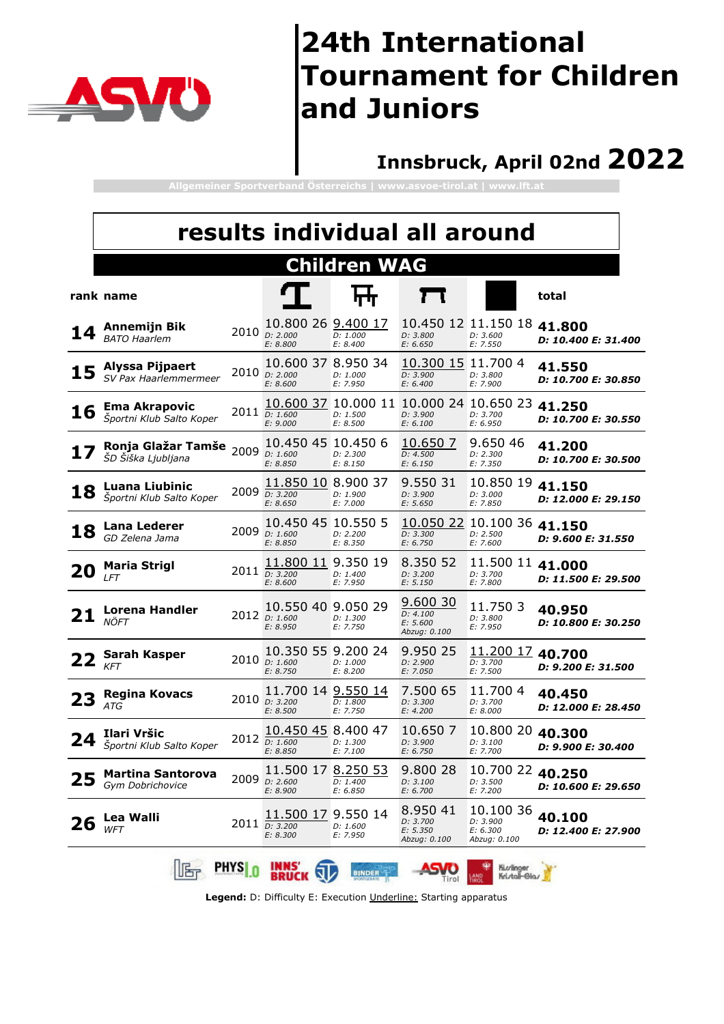

### **Innsbruck, April 02nd 2022**

**Allgemeiner Sportverband Österreichs | www.asvoe-tirol.at | www.lft.at**

|    |                                                   |               |                                                 |                                  | results individual all around                                          |                                                    |                                             |
|----|---------------------------------------------------|---------------|-------------------------------------------------|----------------------------------|------------------------------------------------------------------------|----------------------------------------------------|---------------------------------------------|
|    |                                                   |               |                                                 | <b>Children WAG</b>              |                                                                        |                                                    |                                             |
|    | rank name                                         |               |                                                 |                                  |                                                                        |                                                    | total                                       |
|    | Annemijn Bik<br><b>BATO Haarlem</b>               | 2010          | 10.800 26 9.400 17<br>D: 2.000<br>E: 8.800      | D: 1.000<br>E: 8.400             | D: 3.800<br>E: 6.650                                                   | 10.450 12 11.150 18<br>D: 3.600<br>E: 7.550        | 41.800<br>D: 10.400 E: 31.400               |
|    | Alyssa Pijpaert<br>SV Pax Haarlemmermeer          |               | 10.600 37 8.950 34<br>2010 D: 2.000<br>E: 8.600 | D: 1.000<br>E: 7.950             | 10.300 15<br>D: 3.900<br>E: 6.400                                      | 11.7004<br>D: 3.800<br>E: 7.900                    | 41.550<br>D: 10.700 E: 30.850               |
| 16 | <b>Ema Akrapovic</b><br>Športni Klub Salto Koper  |               | 2011 D: 1.600<br>E: 9.000                       | D: 1.500<br>E: 8.500             | 10.600 37 10.000 11 10.000 24 10.650 23 41.250<br>D: 3.900<br>E: 6.100 | D: 3.700<br>E: 6.950                               | D: 10.700 E: 30.550                         |
|    | Ronja Glažar Tamše<br>ŠD Šiška Ljubljana          | 2009          | 10.450 45<br>D: 1.600<br>E: 8.850               | 10.450 6<br>D: 2.300<br>E: 8.150 | 10.650 7<br>D: 4.500<br>E: 6.150                                       | 9.650 46<br>D: 2.300<br>E: 7.350                   | 41.200<br>D: 10.700 E: 30.500               |
| 18 | <b>Luana Liubinic</b><br>Športni Klub Salto Koper | 2009          | 11.850 10<br>D: 3.200<br>E: 8.650               | 8.900 37<br>D: 1.900<br>E: 7.000 | 9.550 31<br>D: 3.900<br>E: 5.650                                       | 10.850 19<br>D: 3.000<br>E: 7.850                  | 41.150<br>D: 12.000 E: 29.150               |
| 18 | <b>Lana Lederer</b><br>GD Zelena Jama             | 2009          | 10.450 45 10.550 5<br>D: 1.600<br>E: 8.850      | D: 2.200<br>E: 8.350             | D: 3.300<br>E: 6.750                                                   | 10.050 22 10.100 36 41.150<br>D: 2.500<br>E: 7.600 | D: 9.600 E: 31.550                          |
| 20 | <b>Maria Strigl</b><br><b>LFT</b>                 |               | 11.800 11<br>$2011$ $D: 3.200$<br>E: 8.600      | 9.350 19<br>D: 1.400<br>E: 7.950 | 8.350 52<br>D: 3.200<br>E: 5.150                                       | 11.500 11 41.000<br>D: 3.700<br>E: 7.800           | D: 11.500 E: 29.500                         |
|    | Lorena Handler<br>NÖFT                            |               | 10.550 40 9.050 29<br>2012 D: 1.600<br>E: 8.950 | D: 1.300<br>E: 7.750             | 9.600 30<br>D: 4.100<br>E: 5.600<br>Abzug: 0.100                       | 11.750 3<br>D: 3.800<br>E: 7.950                   | 40.950<br>D: 10.800 E: 30.250               |
|    | Sarah Kasper<br><b>KFT</b>                        |               | 10.350 55 9.200 24<br>2010 D: 1.600<br>E: 8.750 | D: 1.000<br>E: 8.200             | 9.950 25<br>D: 2.900<br>E: 7.050                                       | 11.200 17 40.700<br>D: 3.700<br>E: 7.500           | D: 9.200 E: 31.500                          |
|    | <b>Regina Kovacs</b><br><b>ATG</b>                | 2010          | 11.700 14 9.550 14<br>D: 3.200<br>E: 8.500      | D: 1.800<br>E: 7.750             | 7.500 65<br>D: 3.300<br>E: 4.200                                       | 11.700 4<br>D: 3.700<br>E: 8.000                   | 40.450<br><i><b>D: 12.000 E: 28.450</b></i> |
|    | Ilari Vršic<br>Športni Klub Salto Koper           |               | 10.450 45 8.400 47<br>2012 D: 1.600<br>E: 8.850 | D: 1.300<br>E: 7.100             | 10.650 7<br>D: 3.900<br>E: 6.750                                       | 10.800 20<br>D: 3.100<br>E: 7.700                  | 40.300<br>D: 9.900 E: 30.400                |
|    | Martina Santorova<br>Gym Dobrichovice             |               | 11.500 17 8.250 53<br>2009 D: 2.600<br>E: 8.900 | D: 1.400<br>E: 6.850             | 9.800 28<br>D: 3.100<br>E: 6.700                                       | 10.700 22<br>D: 3.500<br>E: 7.200                  | 40.250<br><i>D: 10.600 E: 29.650</i>        |
| 26 | Lea Walli<br><b>WFT</b>                           | 2011          | 11.500 17 9.550 14<br>D: 3.200<br>E: 8.300      | D: 1.600<br>E: 7.950             | 8.950 41<br>D: 3.700<br>E: 5.350<br>Abzug: 0.100                       | 10.100 36<br>D: 3.900<br>E: 6.300<br>Abzug: 0.100  | 40.100<br>D: 12.400 E: 27.900               |
|    |                                                   | <b>PHYS</b> 0 | <b>INNS</b><br><b>BRUCK</b>                     | <b>BINDER</b>                    | l Irol                                                                 | Ki.v/linger<br>Kri./tall-Gla./                     |                                             |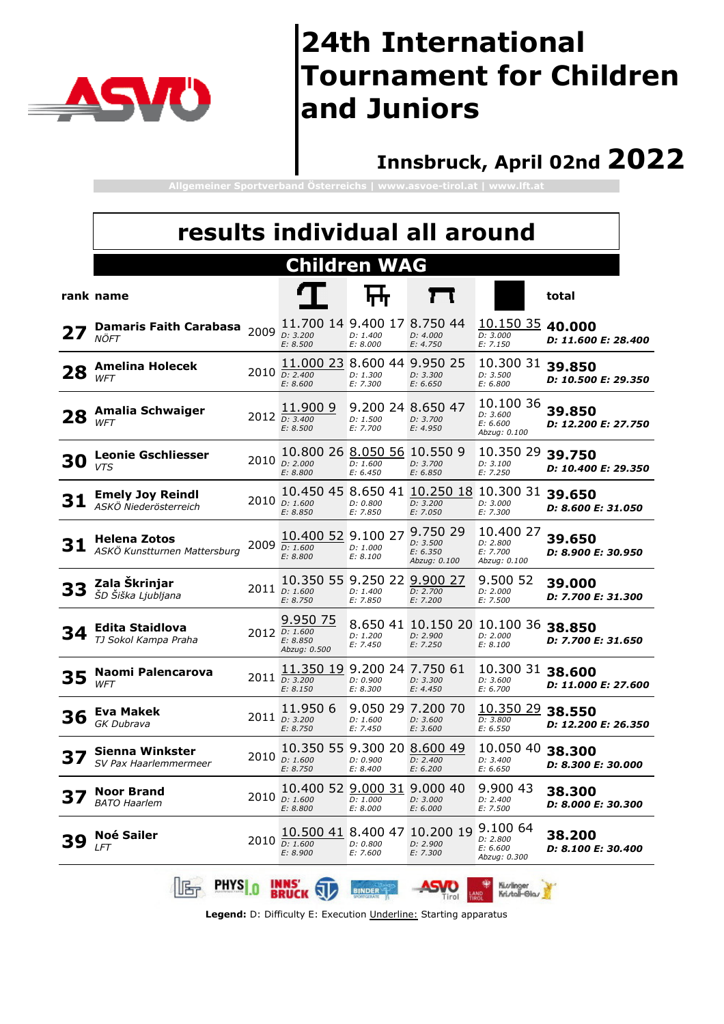

#### **Innsbruck, April 02nd 2022**

**Allgemeiner Sportverband Österreichs | www.asvoe-tirol.at | www.lft.at**

|    | results individual all around                       |      |                                                          |                                           |                                                  |                                                                       |                                      |  |  |  |  |  |
|----|-----------------------------------------------------|------|----------------------------------------------------------|-------------------------------------------|--------------------------------------------------|-----------------------------------------------------------------------|--------------------------------------|--|--|--|--|--|
|    |                                                     |      |                                                          | <b>Children WAG</b>                       |                                                  |                                                                       |                                      |  |  |  |  |  |
|    | rank name                                           |      |                                                          |                                           |                                                  |                                                                       | total                                |  |  |  |  |  |
|    | <b>Damaris Faith Carabasa</b><br>NÖFT               | 2009 | 11.700 14 9.400 17 8.750 44<br>D: 3.200<br>E: 8.500      | D: 1.400<br>E: 8.000                      | D: 4.000<br>E: 4.750                             | 10.150 35 40.000<br>D: 3.000<br>E: 7.150                              | <i><b>D: 11.600 E: 28.400</b></i>    |  |  |  |  |  |
| 28 | <b>Amelina Holecek</b><br><b>WFT</b>                | 2010 | 11.000 23 8.600 44 9.950 25<br>D: 2.400<br>E: 8.600      | D: 1.300<br>E: 7.300                      | D: 3.300<br>E: 6.650                             | 10.300 31<br>D: 3.500<br>E: 6.800                                     | 39.850<br><i>D: 10.500 E: 29.350</i> |  |  |  |  |  |
| 28 | Amalia Schwaiger<br><b>WFT</b>                      |      | 11.900 9<br>2012 D: 3.400<br>E: 8.500                    | D: 1.500<br>E: 7.700                      | 9.200 24 8.650 47<br>D: 3.700<br>E: 4.950        | 10.100 36<br>D: 3.600<br>E: 6.600<br>Abzug: 0.100                     | 39.850<br><i>D: 12.200 E: 27.750</i> |  |  |  |  |  |
| 30 | <b>Leonie Gschliesser</b><br><b>VTS</b>             | 2010 | 10.800 26 8.050 56 10.550 9<br>D: 2.000<br>E: 8.800      | D: 1.600<br>E: 6.450                      | D: 3.700<br>E: 6.850                             | 10.350 29<br>D: 3.100<br>E: 7.250                                     | 39.750<br>D: 10.400 E: 29.350        |  |  |  |  |  |
| 31 | <b>Emely Joy Reindl</b><br>ASKÖ Niederösterreich    |      | 2010 D: 1.600<br>E: 8.850                                | D: 0.800<br>E: 7.850                      | D: 3.200<br>E: 7.050                             | 10.450 45 8.650 41 10.250 18 10.300 31 39.650<br>D: 3.000<br>E: 7.300 | D: 8.600 E: 31.050                   |  |  |  |  |  |
| 31 | <b>Helena Zotos</b><br>ASKÖ Kunstturnen Mattersburg |      | 10.400 52 9.100 27<br>2009 $D: 1.600$<br>E: 8.800        | D: 1.000<br>E: 8.100                      | 9.750 29<br>D: 3.500<br>E: 6.350<br>Abzug: 0.100 | 10.400 27<br>D: 2.800<br>E: 7.700<br>Abzug: 0.100                     | 39.650<br><i>D: 8.900 E: 30.950</i>  |  |  |  |  |  |
| 33 | Zala Škrinjar<br>ŠD Šiška Ljubljana                 |      | 10.350 55 9.250 22 9.900 27<br>2011 D: 1.600<br>E: 8.750 | D: 1.400<br>E: 7.850                      | D: 2.700<br>E: 7.200                             | 9.500 52<br>D: 2.000<br>E: 7.500                                      | 39.000<br>D: 7.700 E: 31.300         |  |  |  |  |  |
| 34 | Edita Staidlova<br>TJ Sokol Kampa Praha             |      | 9.950 75<br>2012 D: 1.600<br>E: 8.850<br>Abzug: 0.500    | D: 1.200<br>E: 7.450                      | D: 2.900<br>E: 7.250                             | 8.650 41 10.150 20 10.100 36 38.850<br>D: 2.000<br>E: 8.100           | <i><b>D: 7.700 E: 31.650</b></i>     |  |  |  |  |  |
| 35 | Naomi Palencarova<br><b>WFT</b>                     |      | 11.350 19<br>2011 D: 3.200<br>E: 8.150                   | 9,200 24 7,750 61<br>D: 0.900<br>E: 8.300 | D: 3.300<br>E: 4.450                             | 10.300 31 38.600<br>D: 3.600<br>E: 6.700                              | D: 11.000 E: 27.600                  |  |  |  |  |  |
| 36 | Eva Makek<br>GK Dubrava                             |      | 11.950 6<br>2011 D: 3.200<br>E: 8.750                    | 9.050 29<br>D: 1.600<br>E: 7.450          | 7.200 70<br>D: 3.600<br>E: 3.600                 | 10.350 29<br>D: 3.800<br>E: 6.550                                     | 38.550<br>D: 12.200 E: 26.350        |  |  |  |  |  |
|    | <b>Sienna Winkster</b><br>SV Pax Haarlemmermeer     |      | 10.350 55 9.300 20 8.600 49<br>2010 D: 1.600<br>E: 8.750 | D: 0.900<br>E: 8.400                      | D: 2.400<br>E: 6.200                             | 10.050 40<br>D: 3.400<br>E: 6.650                                     | 38.300<br>D: 8.300 E: 30.000         |  |  |  |  |  |
| 37 | <b>Noor Brand</b><br><b>BATO Haarlem</b>            |      | 10.400 52 9.000 31 9.000 40<br>2010 D: 1.600<br>E: 8.800 | D: 1.000<br>E: 8.000                      | D: 3.000<br>E: 6.000                             | 9.900 43<br>D: 2.400<br>E: 7.500                                      | 38.300<br>D: 8.000 E: 30.300         |  |  |  |  |  |
| 39 | <b>Noé Sailer</b><br><b>LFT</b>                     |      | 10.500 41 8.400 47<br>2010 D: 1.600<br>E: 8.900          | D: 0.800<br>E: 7.600                      | 10.200 19<br>D: 2.900<br>E: 7.300                | 9.100 64<br>D: 2.800<br>E: 6.600<br>Abzug: 0.300                      | 38.200<br>D: 8.100 E: 30.400         |  |  |  |  |  |
|    | <b>PHYS</b> 0<br>lle,                               |      | <b>INNS</b><br><b>BRUCK</b>                              | <b>BINDER</b>                             | Tirol                                            | Ki.v/linger<br>Kristal-Glas                                           |                                      |  |  |  |  |  |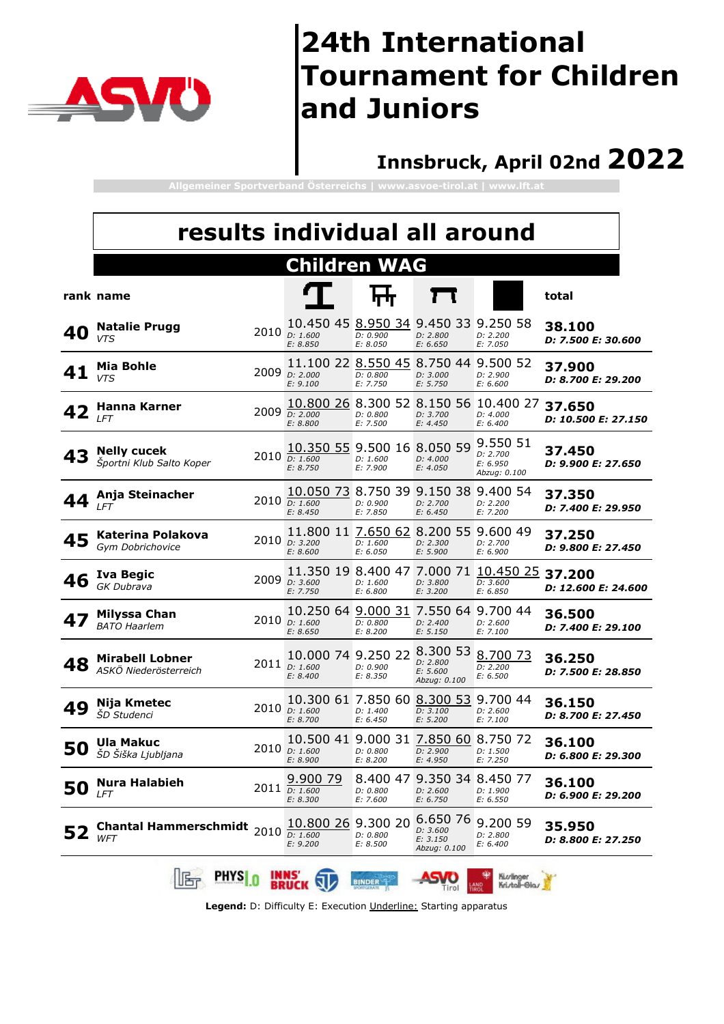

#### **Innsbruck, April 02nd 2022**

**Allgemeiner Sportverband Österreichs | www.asvoe-tirol.at | www.lft.at**

|    | results individual all around                   |      |                                                                   |                      |                                                    |                                                                      |                                            |
|----|-------------------------------------------------|------|-------------------------------------------------------------------|----------------------|----------------------------------------------------|----------------------------------------------------------------------|--------------------------------------------|
|    |                                                 |      | <b>Children WAG</b>                                               |                      |                                                    |                                                                      |                                            |
|    | rank name                                       |      |                                                                   |                      |                                                    |                                                                      | total                                      |
| 40 | <b>Natalie Prugg</b><br><b>VTS</b>              |      | 10.450 45 8.950 34 9.450 33 9.250 58<br>2010 D: 1.600<br>E: 8.850 | D: 0.900<br>E: 8.050 | D: 2.800<br>E: 6.650                               | D: 2.200<br>E: 7.050                                                 | 38.100<br><i><b>D: 7.500 E: 30.600</b></i> |
|    | Mia Bohle<br><b>VTS</b>                         | 2009 | 11.100 22 8.550 45 8.750 44 9.500 52<br>D: 2.000<br>E: 9.100      | D: 0.800<br>E: 7.750 | D: 3.000<br>E: 5.750                               | D: 2.900<br>E: 6.600                                                 | 37.900<br>D: 8.700 E: 29.200               |
|    | Hanna Karner<br><b>LFT</b>                      |      | 10.800 26 8.300 52 8.150 56<br>2009 D: 2.000<br>E: 8.800          | D: 0.800<br>E: 7.500 | D: 3.700<br>E: 4.450                               | 10.400 27<br>D: 4.000<br>E: 6.400                                    | 37.650<br><i>D: 10.500 E: 27.150</i>       |
| 43 | <b>Nelly cucek</b><br>Športni Klub Salto Koper  |      | 10.350 55 9.500 16 8.050 59<br>2010 D: 1.600<br>E: 8.750          | D: 1.600<br>E: 7.900 | D: 4.000<br>E: 4.050                               | 9.550 51<br>D: 2.700<br>E: 6.950<br>Abzug: 0.100                     | 37.450<br>D: 9.900 E: 27.650               |
| 44 | Anja Steinacher<br>LFT                          |      | 10.050 73<br>2010 D: 1.600<br>E: 8.450                            | D: 0.900<br>E: 7.850 | D: 2.700<br>E: 6.450                               | 8.750 39 9.150 38 9.400 54<br>D: 2.200<br>E: 7.200                   | 37.350<br>D: 7.400 E: 29.950               |
| 45 | Katerina Polakova<br>Gym Dobrichovice           |      | 11.800 11 7.650 62<br>2010 D: 3.200<br>E: 8.600                   | D: 1.600<br>E: 6.050 | 8.200 55<br>D: 2.300<br>E: 5.900                   | 9.600 49<br>D: 2.700<br>E: 6.900                                     | 37.250<br>D: 9.800 E: 27.450               |
| 46 | Iva Begic<br>GK Dubrava                         | 2009 | D: 3.600<br>E: 7.750                                              | D: 1.600<br>E: 6.800 | D: 3.800<br>E: 3.200                               | 11.350 19 8.400 47 7.000 71 10.450 25 37.200<br>D: 3.600<br>E: 6.850 | <i><b>D: 12.600 E: 24.600</b></i>          |
| 47 | Milyssa Chan<br><b>BATO</b> Haarlem             | 2010 | 10.250 64 9.000 31<br>D: 1.600<br>E: 8.650                        | D: 0.800<br>E: 8.200 | D: 2.400<br>E: 5.150                               | 7.550 64 9.700 44<br>D: 2.600<br>E: 7.100                            | 36.500<br><i><b>D: 7.400 E: 29.100</b></i> |
| 48 | <b>Mirabell Lobner</b><br>ASKÖ Niederösterreich |      | 10.000 74 9.250 22<br>2011 D: 1.600<br>E: 8.400                   | D: 0.900<br>E: 8.350 | 8.300 53<br>D: 2.800<br>E: 5.600<br>Abzug: 0.100   | 8.700 73<br>D: 2.200<br>E: 6.500                                     | 36.250<br><i><b>D: 7.500 E: 28.850</b></i> |
| 49 | Nija Kmetec<br><i>ŠD Studenci</i>               |      | 10.300 61 7.850 60<br>2010 D: 1.600<br>E: 8.700                   | D: 1.400<br>E: 6.450 | 8.300 53<br>D: 3.100<br>E: 5.200                   | 9.700 44<br>D: 2.600<br>E: 7.100                                     | 36.150<br>D: 8.700 E: 27.450               |
| 50 | Ula Makuc<br>ŠD Šiška Ljubljana                 |      | 10.500 41 9.000 31<br>2010 D: 1.600<br>E: 8.900                   | D: 0.800<br>E: 8.200 | 7.850 60<br>D: 2.900<br>E: 4.950                   | 8.750 72<br>D: 1.500<br>E: 7.250                                     | 36.100<br>D: 6.800 E: 29.300               |
| 50 | <b>Nura Halabieh</b><br><b>LFT</b>              |      | 9.900 79<br>$2011$ $D: 1.600$<br>E: 8.300                         | D: 0.800<br>E: 7.600 | 8.400 47 9.350 34 8.450 77<br>D: 2.600<br>E: 6.750 | D: 1.900<br>E: 6.550                                                 | 36.100<br>D: 6.900 E: 29.200               |
| 52 | <b>Chantal Hammerschmidt</b><br>WFT             | 2010 | 10.800 26 9.300 20<br>D: 1.600<br>E: 9.200                        | D: 0.800<br>E: 8.500 | 6.650 76<br>D: 3.600<br>E: 3.150<br>Abzug: 0.100   | 9.200 59<br>D: 2.800<br>E: 6.400                                     | 35.950<br>D: 8.800 E: 27.250               |
|    | <b>PHYS</b>                                     |      | <b>INNS</b>                                                       | <b>BINDER</b>        |                                                    | Kiurlinger<br>Kri./tall-Gla./                                        |                                            |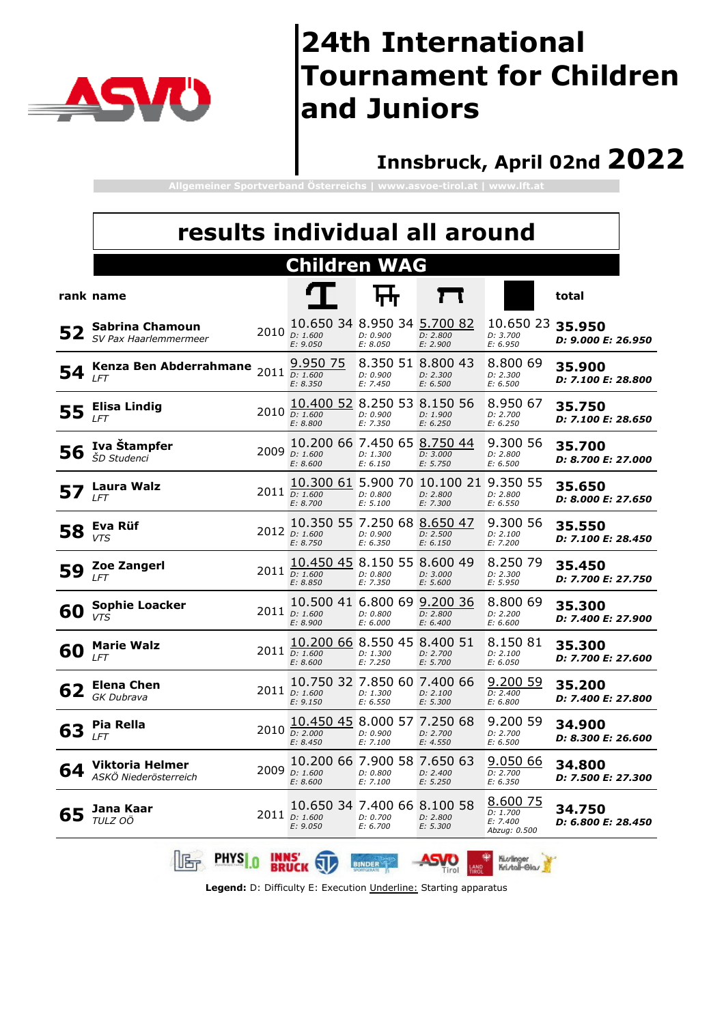

### **Innsbruck, April 02nd 2022**

**Allgemeiner Sportverband Österreichs | www.asvoe-tirol.at | www.lft.at**

|    | results individual all around                   |             |                                                              |                                           |                                                               |                                                  |                                     |
|----|-------------------------------------------------|-------------|--------------------------------------------------------------|-------------------------------------------|---------------------------------------------------------------|--------------------------------------------------|-------------------------------------|
|    |                                                 |             | <b>Children WAG</b>                                          |                                           |                                                               |                                                  |                                     |
|    | rank name                                       |             |                                                              |                                           |                                                               |                                                  | total                               |
| 52 | Sabrina Chamoun<br>SV Pax Haarlemmermeer        |             | 10.650 34 8.950 34 5.700 82<br>$2010$ $D: 1.600$<br>E: 9.050 | D: 0.900<br>E: 8.050                      | D: 2.800<br>E: 2.900                                          | 10.650 23<br>D: 3.700<br>E: 6.950                | 35.950<br>D: 9.000 E: 26.950        |
| 54 | Kenza Ben Abderrahmane<br><b>LFT</b>            |             | 9.950 75<br>2011 D: 1.600<br>E: 8.350                        | D: 0.900<br>E: 7.450                      | 8.350 51 8.800 43<br>D: 2.300<br>E: 6.500                     | 8,800 69<br>D: 2.300<br>E: 6.500                 | 35.900<br>D: 7.100 E: 28.800        |
| 55 | Elisa Lindig<br><b>LFT</b>                      |             | 10.400 52<br>2010 D: 1.600<br>E: 8.800                       | 8.250 53 8.150 56<br>D: 0.900<br>E: 7.350 | D: 1.900<br>E: 6.250                                          | 8.950 67<br>D: 2.700<br>E: 6.250                 | 35.750<br>D: 7.100 E: 28.650        |
| 56 | Iva Stampfer<br>ŠD Studenci                     |             | 10.200 66 7.450 65<br>2009 D: 1.600<br>E: 8.600              | D: 1.300<br>E: 6.150                      | 8.750 44<br>D: 3.000<br>E: 5.750                              | 9.300 56<br>D: 2.800<br>E: 6.500                 | 35.700<br>D: 8.700 E: 27.000        |
|    | Laura Walz<br>LFT                               |             | 2011 D: 1.600<br>E: 8.700                                    | D: 0.800<br>E: 5.100                      | 10.300 61 5.900 70 10.100 21 9.350 55<br>D: 2.800<br>E: 7.300 | D: 2.800<br>E: 6.550                             | 35.650<br>D: 8.000 E: 27.650        |
| 58 | Eva Rüf<br><b>VTS</b>                           |             | 10.350 55 7.250 68 8.650 47<br>2012 D: 1.600<br>E: 8.750     | D: 0.900<br>E: 6.350                      | D: 2.500<br>E: 6.150                                          | 9.300 56<br>D: 2.100<br>E: 7.200                 | 35.550<br>D: 7.100 E: 28.450        |
| 59 | Zoe Zangerl<br>LFT                              |             | 10.450 45<br>$2011$ $D: 1.600$<br>E: 8.850                   | 8.150 55<br>D: 0.800<br>E: 7.350          | 8.600 49<br>D: 3.000<br>E: 5.600                              | 8.250 79<br>D: 2.300<br>E: 5.950                 | 35.450<br>D: 7.700 E: 27.750        |
| 60 | <b>Sophie Loacker</b><br><b>VTS</b>             |             | 10.500 41 6.800 69 9.200 36<br>2011 D: 1.600<br>E: 8.900     | D: 0.800<br>E: 6.000                      | D: 2.800<br>E: 6.400                                          | 8.800 69<br>D: 2.200<br>E: 6.600                 | 35.300<br>D: 7.400 E: 27.900        |
| 60 | <b>Marie Walz</b><br>LFT                        | 2011        | 10.200 66 8.550 45 8.400 51<br>D: 1.600<br>E: 8.600          | D: 1.300<br>E: 7.250                      | D: 2.700<br>E: 5.700                                          | 8.150 81<br>D: 2.100<br>E: 6.050                 | 35.300<br>D: 7.700 E: 27.600        |
| 62 | <b>Elena Chen</b><br><b>GK Dubrava</b>          |             | 10.750 32 7.850 60 7.400 66<br>2011 D: 1.600<br>E: 9.150     | D: 1.300<br>E: 6.550                      | D: 2.100<br>E: 5.300                                          | 9.200 59<br>D: 2.400<br>E: 6.800                 | 35.200<br>D: 7.400 E: 27.800        |
| 63 | Pia Rella<br>LFT                                |             | 10.450 45<br>2010 D: 2.000<br>E: 8.450                       | 8.000 57<br>D: 0.900<br>E: 7.100          | 7.250 68<br>D: 2.700<br>E: 4.550                              | 9.200 59<br>D: 2.700<br>E: 6.500                 | 34.900<br><i>D: 8.300 E: 26.600</i> |
| 64 | <b>Viktoria Helmer</b><br>ASKÖ Niederösterreich |             | 10.200 66 7.900 58 7.650 63<br>2009 D: 1.600<br>E: 8.600     | D: 0.800<br>E: 7.100                      | D: 2.400<br>E: 5.250                                          | 9.05066<br>D: 2.700<br>E: 6.350                  | 34.800<br>D: 7.500 E: 27.300        |
| 65 | Jana Kaar<br>TULZ OÖ                            |             | 10.650 34 7.400 66 8.100 58<br>2011 D: 1.600<br>E: 9.050     | D: 0.700<br>E: 6.700                      | D: 2.800<br>E: 5.300                                          | 8.600 75<br>D: 1.700<br>E: 7.400<br>Abzug: 0.500 | 34.750<br><i>D: 6.800 E: 28.450</i> |
|    | <b>PHYS</b> 0<br>啹                              | <b>INNS</b> |                                                              | <b>BINDER</b>                             | Tirol                                                         | Kiuvlinger<br>Kri./tall-Gla./                    |                                     |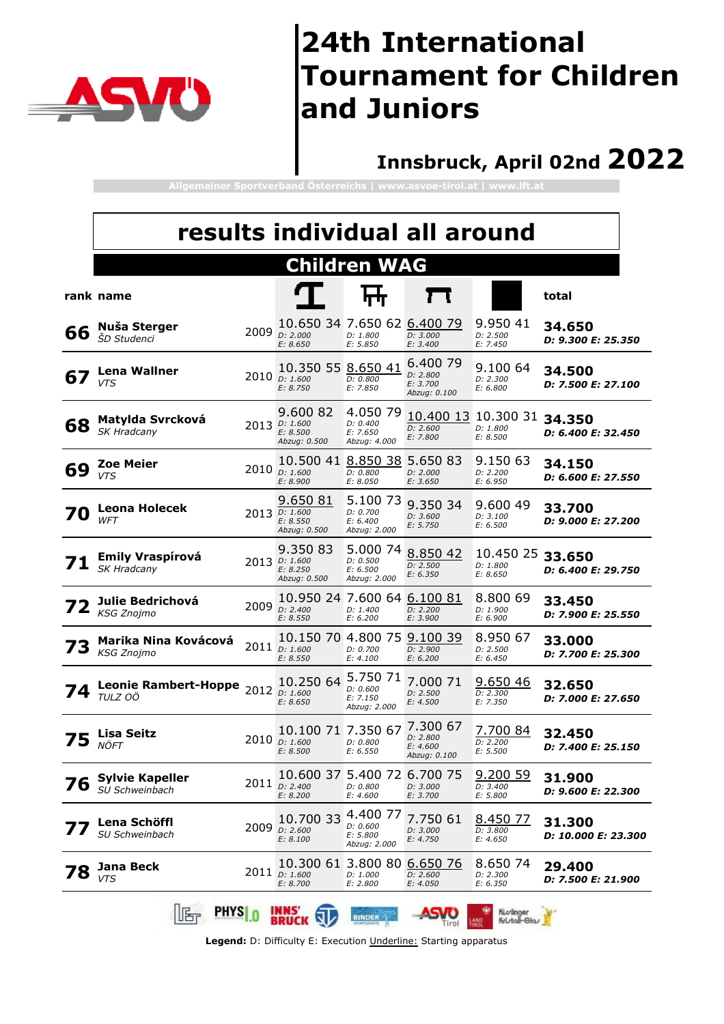

### **Innsbruck, April 02nd 2022**

**Allgemeiner Sportverband Österreichs | www.asvoe-tirol.at | www.lft.at**

|    |                                           |      | results individual all around                            |                                                  |                                                  |                                          |                               |
|----|-------------------------------------------|------|----------------------------------------------------------|--------------------------------------------------|--------------------------------------------------|------------------------------------------|-------------------------------|
|    |                                           |      |                                                          | <b>Children WAG</b>                              |                                                  |                                          |                               |
|    | rank name                                 |      |                                                          |                                                  |                                                  |                                          | total                         |
| 66 | Nuša Sterger<br><i><b>ŠD Studenci</b></i> |      | 10.650 34 7.650 62 6.400 79<br>2009 D: 2.000<br>E: 8.650 | D: 1.800<br>E: 5.850                             | D: 3.000<br>E: 3.400                             | 9.950 41<br>D: 2.500<br>E: 7.450         | 34.650<br>D: 9.300 E: 25.350  |
| 67 | <b>Lena Wallner</b><br><b>VTS</b>         |      | 10.350 55 8.650 41<br>2010 D: 1.600<br>E: 8.750          | D: 0.800<br>E: 7.850                             | 6.400 79<br>D: 2.800<br>E: 3.700<br>Abzug: 0.100 | 9.100 64<br>D: 2.300<br>E: 6.800         | 34.500<br>D: 7.500 E: 27.100  |
| 68 | Matylda Svrcková<br>SK Hradcany           |      | 9.600 82<br>2013 D: 1.600<br>E: 8.500<br>Abzug: 0.500    | 4.050 79<br>D: 0.400<br>E: 7.650<br>Abzug: 4.000 | 10.400 13<br>D: 2.600<br>E: 7.800                | 10.300 31 34.350<br>D: 1.800<br>E: 8.500 | D: 6.400 E: 32.450            |
| 69 | <b>Zoe Meier</b><br><b>VTS</b>            |      | 10.500 41<br>2010 D: 1.600<br>E: 8.900                   | 8.850 38<br>D: 0.800<br>E: 8.050                 | 5.650 83<br>D: 2.000<br>E: 3.650                 | 9.150 63<br>D: 2.200<br>E: 6.950         | 34.150<br>D: 6.600 E: 27.550  |
|    | <b>Leona Holecek</b><br>WFT               |      | 9.650 81<br>2013 D: 1.600<br>E: 8.550<br>Abzug: 0.500    | 5.100 73<br>D: 0.700<br>E: 6.400<br>Abzug: 2.000 | 9.350 34<br>D: 3.600<br>E: 5.750                 | 9.600 49<br>D: 3.100<br>E: 6.500         | 33.700<br>D: 9.000 E: 27.200  |
|    | <b>Emily Vraspírová</b><br>SK Hradcany    |      | 9.350 83<br>2013 D: 1.600<br>E: 8.250<br>Abzug: 0.500    | 5.000 74<br>D: 0.500<br>E: 6.500<br>Abzug: 2.000 | 8.850 42<br>D: 2.500<br>E: 6.350                 | 10.450 25<br>D: 1.800<br>E: 8.650        | 33.650<br>D: 6.400 E: 29.750  |
|    | Julie Bedrichová<br><b>KSG Znojmo</b>     |      | 10.950 24 7.600 64 6.100 81<br>2009 D: 2.400<br>E: 8.550 | D: 1.400<br>E: 6.200                             | D: 2.200<br>E: 3.900                             | 8.800 69<br>D: 1.900<br>E: 6.900         | 33.450<br>D: 7.900 E: 25.550  |
| 73 | Marika Nina Kovácová<br><b>KSG Znojmo</b> |      | 10.150 70 4.800 75<br>2011 D: 1.600<br>E: 8.550          | D: 0.700<br>E: 4.100                             | 9.100 39<br>D: 2.900<br>E: 6.200                 | 8.950 67<br>D: 2.500<br>E: 6.450         | 33.000<br>D: 7.700 E: 25.300  |
|    | <b>Leonie Rambert-Hoppe</b><br>TULZ OÖ    |      | 10.250 64<br>2012 <i>D:</i> 1.600<br>E: 8.650            | 5.750 71<br>D: 0.600<br>E: 7.150<br>Abzug: 2.000 | 7.000 71<br>D: 2.500<br>E: 4.500                 | 9.650 46<br>D: 2.300<br>E: 7.350         | 32.650<br>D: 7.000 E: 27.650  |
|    | Lisa Seitz<br>NÖFT                        |      | 10.100 71 7.350 67<br>2010 D: 1.600<br>E: 8.500          | D: 0.800<br>E: 6.550                             | 7.300 67<br>D: 2.800<br>E: 4.600<br>Abzug: 0.100 | 7.700 84<br>D: 2.200<br>E: 5.500         | 32.450<br>D: 7.400 E: 25.150  |
| 76 | <b>Sylvie Kapeller</b><br>SU Schweinbach  |      | 10.600 37 5.400 72 6.700 75<br>2011 D: 2.400<br>E: 8.200 | D: 0.800<br>E: 4.600                             | D: 3.000<br>E: 3.700                             | 9.200 59<br>D: 3.400<br>E: 5.800         | 31.900<br>D: 9.600 E: 22.300  |
|    | Lena Schöffl<br>SU Schweinbach            | 2009 | 10.700 33<br>D: 2.600<br>E: 8.100                        | 4.400 77<br>D: 0.600<br>E: 5.800<br>Abzug: 2.000 | 7.750 61<br>D: 3.000<br>E: 4.750                 | 8.450 77<br>D: 3.800<br>E: 4.650         | 31.300<br>D: 10.000 E: 23.300 |
|    | Jana Beck<br><b>VTS</b>                   |      | 10.300 61<br>2011 D: 1.600<br>E: 8.700                   | 3.800 80<br>D: 1.000<br>E: 2.800                 | 6.650 76<br>D: 2.600<br>E: 4.050                 | 8.650 74<br>D: 2.300<br>E: 6.350         | 29.400<br>D: 7.500 E: 21.900  |
|    | <b>PHYSI</b> n<br>lß,                     |      | <b>INNS</b>                                              | <b>BINDER</b>                                    |                                                  | Kiuvlinger<br>Kri./tall-Gla./            |                               |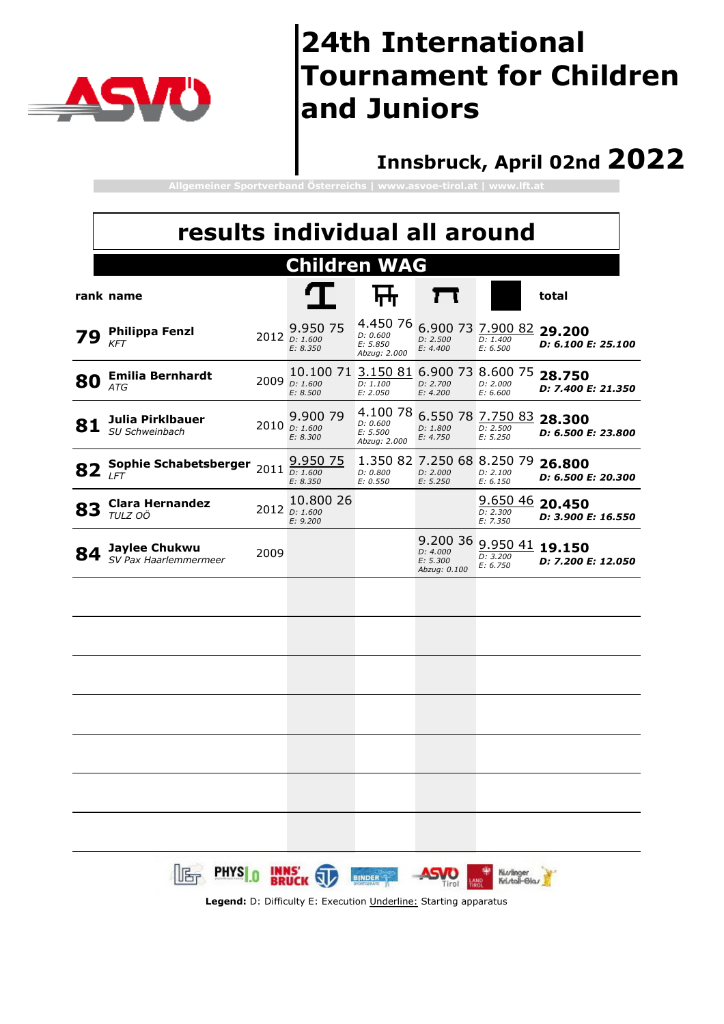

### **Innsbruck, April 02nd 2022**

**Allgemeiner Sportverband Österreichs | www.asvoe-tirol.at | www.lft.at**

|    | results individual all around          |      |                                                                                                  |                                                  |                                                    |                                           |                              |
|----|----------------------------------------|------|--------------------------------------------------------------------------------------------------|--------------------------------------------------|----------------------------------------------------|-------------------------------------------|------------------------------|
|    |                                        |      | <b>Children WAG</b>                                                                              |                                                  |                                                    |                                           |                              |
|    | rank name                              |      |                                                                                                  |                                                  | П                                                  |                                           | total                        |
|    | <b>Philippa Fenzl</b><br><b>KFT</b>    |      | 9.950 75<br>2012 D: 1.600<br>E: 8.350                                                            | 4.450 76<br>D: 0.600<br>E: 5.850<br>Abzug: 2.000 | D: 2.500<br>E: 4.400                               | 6.900 73 7.900 82<br>D: 1.400<br>E: 6.500 | 29.200<br>D: 6.100 E: 25.100 |
| 80 | <b>Emilia Bernhardt</b><br><b>ATG</b>  | 2009 | 10.100 71<br>D: 1.600<br>E: 8.500                                                                | D: 1.100<br>E: 2.050                             | 3.150 81 6.900 73 8.600 75<br>D: 2.700<br>E: 4.200 | D: 2.000<br>E: 6.600                      | 28.750<br>D: 7.400 E: 21.350 |
| 81 | Julia Pirklbauer<br>SU Schweinbach     |      | 9.900 79<br>2010 D: 1.600<br>E: 8.300                                                            | 4.100 78<br>D: 0.600<br>E: 5.500<br>Abzug: 2.000 | D: 1.800<br>E: 4.750                               | 6.550 78 7.750 83<br>D: 2.500<br>E: 5.250 | 28.300<br>D: 6.500 E: 23.800 |
| 82 | Sophie Schabetsberger<br><b>LFT</b>    |      | 9.950 75<br>2011 D: 1.600<br>E: 8.350                                                            | D: 0.800<br>E: 0.550                             | 1.350 82 7.250 68 8.250 79<br>D: 2.000<br>E: 5.250 | D: 2.100<br>E: 6.150                      | 26.800<br>D: 6.500 E: 20.300 |
| 83 | <b>Clara Hernandez</b><br>TULZ OÖ      |      | 10.800 26<br>2012 <i>D:</i> 1.600<br>E: 9.200                                                    |                                                  |                                                    | 9.650 46 20.450<br>D: 2.300<br>E: 7.350   | D: 3.900 E: 16.550           |
| 84 | Jaylee Chukwu<br>SV Pax Haarlemmermeer | 2009 |                                                                                                  |                                                  | 9.200 36<br>D: 4.000<br>E: 5.300<br>Abzug: 0.100   | 9.950 41 19.150<br>D: 3.200<br>E: 6.750   | D: 7.200 E: 12.050           |
|    |                                        |      |                                                                                                  |                                                  |                                                    |                                           |                              |
|    |                                        |      |                                                                                                  |                                                  |                                                    |                                           |                              |
|    |                                        |      |                                                                                                  |                                                  |                                                    |                                           |                              |
|    |                                        |      |                                                                                                  |                                                  |                                                    |                                           |                              |
|    |                                        |      |                                                                                                  |                                                  |                                                    |                                           |                              |
|    |                                        |      |                                                                                                  |                                                  |                                                    |                                           |                              |
|    |                                        |      |                                                                                                  |                                                  |                                                    |                                           |                              |
|    | <b>PHYSI</b>                           |      | <b>INNS'</b><br><b>PRUCK</b><br>Legend: D: Difficulty E: Execution Underline: Starting apparatus | <b>BINDER</b>                                    |                                                    | Ki.vlinge<br>Kri./toll-Gli                |                              |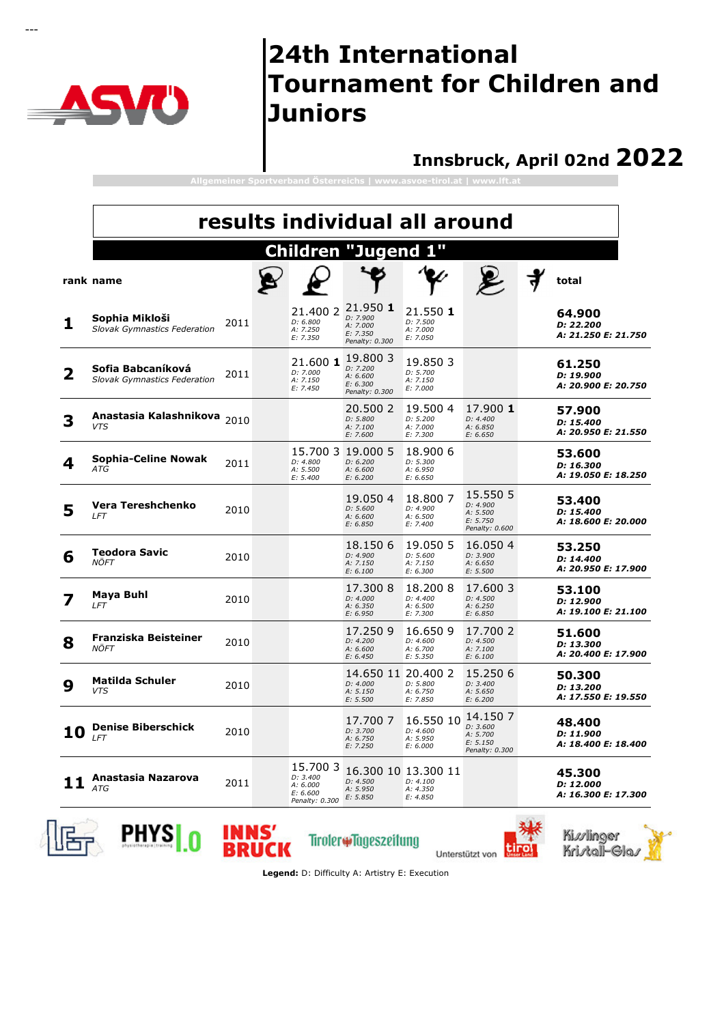

---

### **24th International Tournament for Children and Juniors**

#### **Innsbruck, April 02nd 2022**

|    | results individual all around                            |      |  |                                                                |                                                                         |                                                         |                                                                |                                            |  |  |  |  |
|----|----------------------------------------------------------|------|--|----------------------------------------------------------------|-------------------------------------------------------------------------|---------------------------------------------------------|----------------------------------------------------------------|--------------------------------------------|--|--|--|--|
|    |                                                          |      |  | Children                                                       | "Jugend                                                                 | Ш                                                       |                                                                |                                            |  |  |  |  |
|    | rank name                                                |      |  |                                                                |                                                                         |                                                         |                                                                | total                                      |  |  |  |  |
| 1  | Sophia Mikloši<br><b>Slovak Gymnastics Federation</b>    | 2011 |  | D: 6.800<br>A: 7.250<br>E: 7.350                               | 21.400 2 21.950 1<br>D: 7.900<br>A: 7.000<br>E: 7.350<br>Penalty: 0.300 | 21.550 1<br>D: 7.500<br>A: 7.000<br>E: 7.050            |                                                                | 64.900<br>D: 22.200<br>A: 21.250 E: 21.750 |  |  |  |  |
| 2  | Sofia Babcaníková<br><b>Slovak Gymnastics Federation</b> | 2011 |  | 21.600 1<br>D: 7.000<br>A: 7.150<br>E: 7.450                   | 19.800 3<br>D: 7.200<br>A: 6.600<br>E: 6.300<br>Penalty: 0.300          | 19.850 3<br>D: 5.700<br>A: 7.150<br>E: 7.000            |                                                                | 61.250<br>D: 19.900<br>A: 20.900 E: 20.750 |  |  |  |  |
| 3  | Anastasia Kalashnikova<br><b>VTS</b>                     | 2010 |  |                                                                | 20,500 2<br>D: 5.800<br>A: 7.100<br>E: 7.600                            | 19,500 4<br>D: 5.200<br>A: 7.000<br>E: 7.300            | 17.900 1<br>D: 4.400<br>A: 6.850<br>E: 6.650                   | 57.900<br>D: 15.400<br>A: 20.950 E: 21.550 |  |  |  |  |
| 4  | Sophia-Celine Nowak<br>ATG                               | 2011 |  | D: 4.800<br>A: 5.500<br>E: 5.400                               | 15.700 3 19.000 5<br>D: 6.200<br>A: 6.600<br>E: 6.200                   | 18,900 6<br>D: 5.300<br>A: 6.950<br>E: 6.650            |                                                                | 53.600<br>D: 16.300<br>A: 19.050 E: 18.250 |  |  |  |  |
| 5  | Vera Tereshchenko<br>LFT                                 | 2010 |  |                                                                | 19.050 4<br>D: 5.600<br>A: 6.600<br>E: 6.850                            | 18.8007<br>D: 4.900<br>A: 6.500<br>E: 7.400             | 15.550 5<br>D: 4.900<br>A: 5.500<br>E: 5.750<br>Penalty: 0.600 | 53.400<br>D: 15.400<br>A: 18.600 E: 20.000 |  |  |  |  |
| 6  | <b>Teodora Savic</b><br>NÖFT                             | 2010 |  |                                                                | 18.150 6<br>D: 4.900<br>A: 7.150<br>E: 6.100                            | 19.050 5<br>D: 5.600<br>A: 7.150<br>E: 6.300            | 16.050 4<br>D: 3.900<br>A: 6.650<br>E: 5.500                   | 53.250<br>D: 14.400<br>A: 20.950 E: 17.900 |  |  |  |  |
|    | Maya Buhl<br>LFT                                         | 2010 |  |                                                                | 17.3008<br>D: 4.000<br>A: 6.350<br>E: 6.950                             | 18.2008<br>D: 4.400<br>A: 6.500<br>E: 7.300             | 17.6003<br>D: 4.500<br>A: 6.250<br>E: 6.850                    | 53.100<br>D: 12.900<br>A: 19.100 E: 21.100 |  |  |  |  |
| 8  | Franziska Beisteiner<br>NÖFT                             | 2010 |  |                                                                | 17.2509<br>D: 4.200<br>A: 6.600<br>E: 6.450                             | 16.650 9<br>D: 4.600<br>A: 6.700<br>E: 5.350            | 17.700 2<br>D: 4.500<br>A: 7.100<br>E: 6.100                   | 51.600<br>D: 13.300<br>A: 20.400 E: 17.900 |  |  |  |  |
| 9  | Matilda Schuler<br><b>VTS</b>                            | 2010 |  |                                                                | 14.650 11 20.400 2<br>D: 4.000<br>A: 5.150<br>E: 5.500                  | D: 5.800<br>A: 6.750<br>E: 7.850                        | 15.250 6<br>D: 3.400<br>A: 5.650<br>E: 6.200                   | 50.300<br>D: 13.200<br>A: 17.550 E: 19.550 |  |  |  |  |
| 10 | <b>Denise Biberschick</b><br>LFT                         | 2010 |  |                                                                | 17.700 7<br>D: 3.700<br>A: 6.750<br>E: 7.250                            | 16.550 10<br>D: 4.600<br>A: 5.950<br>E: 6.000           | 14.150 7<br>D: 3.600<br>A: 5.700<br>E: 5.150<br>Penalty: 0.300 | 48.400<br>D: 11.900<br>A: 18.400 E: 18.400 |  |  |  |  |
|    | Anastasia Nazarova<br><b>ATG</b>                         | 2011 |  | 15.700 3<br>D: 3.400<br>A: 6.000<br>E: 6.600<br>Penalty: 0.300 | D: 4.500<br>A: 5.950<br>E: 5.850                                        | 16.300 10 13.300 11<br>D: 4.100<br>A: 4.350<br>E: 4.850 |                                                                | 45.300<br>D: 12.000<br>A: 16.300 E: 17.300 |  |  |  |  |





Tiroler#Tageszeitung

Unterstützt von



**Legend:** D: Difficulty A: Artistry E: Execution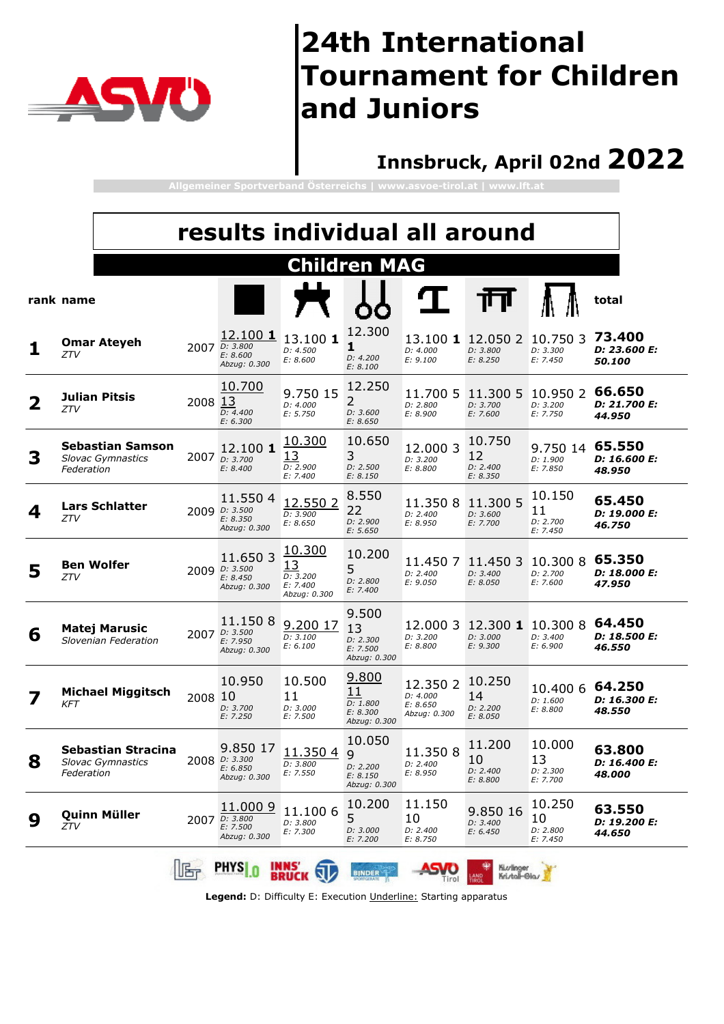

### **Innsbruck, April 02nd 2022**

**Allgemeiner Sportverband Österreichs | www.asvoe-tirol.at | www.lft.at**

|   |                                                                     |         |                                                                |                                                      |                                                            | results individual all around                    |                                           |                                      |                                  |
|---|---------------------------------------------------------------------|---------|----------------------------------------------------------------|------------------------------------------------------|------------------------------------------------------------|--------------------------------------------------|-------------------------------------------|--------------------------------------|----------------------------------|
|   |                                                                     |         |                                                                |                                                      | <b>Children MAG</b>                                        |                                                  |                                           |                                      |                                  |
|   | rank name                                                           |         |                                                                |                                                      |                                                            |                                                  |                                           |                                      | total                            |
|   | <b>Omar Ateyeh</b><br>ZTV                                           |         | 12.100 1<br>2007 D: 3.800<br>E: 8.600<br>Abzug: 0.300          | 13.100 1<br>D: 4.500<br>E: 8.600                     | 12.300<br>1<br>D: 4.200<br>E: 8.100                        | D: 4.000<br>E: 9.100                             | 13.100 1 12.050 2<br>D: 3.800<br>E: 8.250 | 10.750 3<br>D: 3.300<br>E: 7.450     | 73.400<br>D: 23.600 E:<br>50.100 |
| 2 | Julian Pitsis<br>ZTV                                                | 2008 13 | 10.700<br>D: 4.400<br>E: 6.300                                 | 9.750 15<br>D: 4.000<br>E: 5.750                     | 12.250<br>2<br>D: 3.600<br>E: 8.650                        | 11.700 5<br>D: 2.800<br>E: 8.900                 | 11,300 5<br>D: 3.700<br>E: 7.600          | 10.950 2<br>D: 3.200<br>E: 7.750     | 66.650<br>D: 21.700 E:<br>44.950 |
| 3 | <b>Sebastian Samson</b><br><b>Slovac Gymnastics</b><br>Federation   |         | 12.100 <b>1</b><br>2007 D: 3.700<br>E: 8.400                   | 10.300<br>13<br>D: 2.900<br>E: 7.400                 | 10.650<br>3<br>D: 2.500<br>E: 8.150                        | 12.000 3<br>D: 3.200<br>E: 8.800                 | 10.750<br>12<br>D: 2.400<br>E: 8.350      | 9.750 14<br>D: 1.900<br>E: 7.850     | 65.550<br>D: 16.600 E:<br>48.950 |
| 4 | <b>Lars Schlatter</b><br>ZTV                                        |         | 11.5504<br>2009 D: 3.500<br>E: 8.350<br>Abzug: 0.300           | 12.550 2<br>D: 3.900<br>E: 8.650                     | 8.550<br>22<br>D: 2.900<br>E: 5.650                        | 11.3508<br>D: 2.400<br>E: 8.950                  | 11.300 5<br>D: 3.600<br>E: 7.700          | 10.150<br>11<br>D: 2.700<br>E: 7.450 | 65.450<br>D: 19.000 E:<br>46.750 |
| 5 | <b>Ben Wolfer</b><br>ZTV                                            |         | 11.6503<br>2009 D: 3.500<br>E: 8.450<br>Abzug: 0.300           | 10.300<br>13<br>D: 3.200<br>E: 7.400<br>Abzug: 0.300 | 10.200<br>5<br>D: 2.800<br>E: 7.400                        | 11.4507<br>D: 2.400<br>E: 9.050                  | 11.450 3<br>D: 3.400<br>E: 8.050          | 10.300 8<br>D: 2.700<br>E: 7.600     | 65.350<br>D: 18.000 E:<br>47.950 |
| 6 | <b>Matej Marusic</b><br>Slovenian Federation                        |         | 11.1508<br>2007 D: 3.500<br>E: 7.950<br>Abzug: 0.300           | 9.200 17<br>D: 3.100<br>E: 6.100                     | 9.500<br>13<br>D: 2.300<br>E: 7.500<br>Abzug: 0.300        | 12.000 3<br>D: 3.200<br>E: 8.800                 | 12.300 1 10.300 8<br>D: 3.000<br>E: 9.300 | D: 3.400<br>E: 6.900                 | 64.450<br>D: 18.500 E:<br>46.550 |
|   | <b>Michael Miggitsch</b><br>KFT                                     | 2008 10 | 10.950<br>D: 3.700<br>E: 7.250                                 | 10.500<br>11<br>D: 3.000<br>E: 7.500                 | 9.800<br>11<br>D: 1.800<br>E: 8.300<br>Abzug: 0.300        | 12.350 2<br>D: 4.000<br>E: 8.650<br>Abzug: 0.300 | 10.250<br>14<br>D: 2.200<br>E: 8.050      | 10.400 6<br>D: 1.600<br>E: 8.800     | 64.250<br>D: 16.300 E:<br>48.550 |
| ୪ | <b>Sebastian Stracina</b><br><b>Slovac Gymnastics</b><br>Federation |         | 9.850 17<br>$2008$ <i>D: 3.300</i><br>E: 6.850<br>Abzug: 0.300 | 11.3504<br>D: 3.800<br>E: 7.550                      | 10.050<br>$\Omega$<br>D: 2.200<br>E: 8.150<br>Abzug: 0.300 | 11.3508<br>D: 2.400<br>E: 8.950                  | 11.200<br>10<br>D: 2.400<br>E: 8.800      | 10.000<br>13<br>D: 2.300<br>E: 7.700 | 63.800<br>D: 16.400 E:<br>48.000 |
| 9 | Quinn Müller<br>ZTV                                                 |         | 11.0009<br>2007 D: 3.800<br>E: 7.500<br>Abzug: 0.300           | 11.1006<br>D: 3.800<br>E: 7.300                      | 10.200<br>5<br>D: 3.000<br>E: 7.200                        | 11.150<br>10<br>D: 2.400<br>E: 8.750             | 9.850 16<br>D: 3.400<br>E: 6.450          | 10.250<br>10<br>D: 2.800<br>E: 7.450 | 63.550<br>D: 19.200 E:<br>44.650 |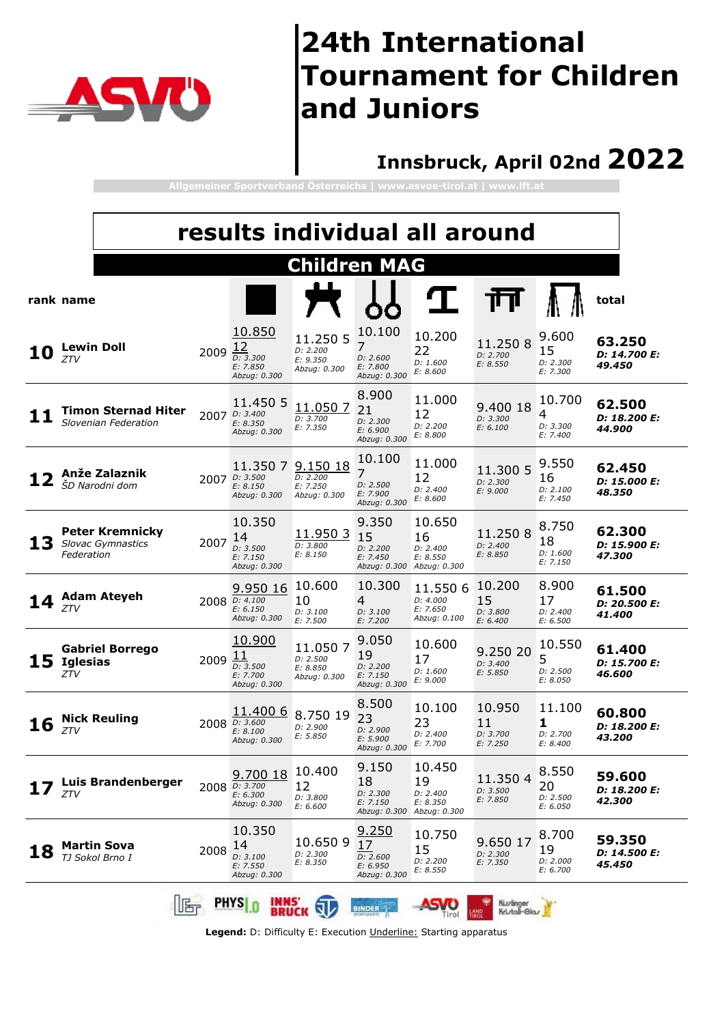

### **Innsbruck, April 02nd 2022**

**Allgemeiner Sportverband Österreichs | www.asvoe-tirol.at | www.lft.at**

|    |                        |                                                    |      |                                                                | results individual all around                    |                                                                  |                                                      |                                      |                                            |                                  |
|----|------------------------|----------------------------------------------------|------|----------------------------------------------------------------|--------------------------------------------------|------------------------------------------------------------------|------------------------------------------------------|--------------------------------------|--------------------------------------------|----------------------------------|
|    |                        |                                                    |      |                                                                | <b>Children MAG</b>                              |                                                                  |                                                      |                                      |                                            |                                  |
|    | rank name              |                                                    |      |                                                                |                                                  |                                                                  |                                                      |                                      |                                            | total                            |
| 10 | ZTV                    | <b>Lewin Doll</b>                                  | 2009 | 10.850<br>12<br>D: 3.300<br>E: 7.850<br>Abzug: 0.300           | 11.250 5<br>D: 2.200<br>E: 9.350<br>Abzug: 0.300 | 10.100<br>7<br>D: 2.600<br>E: 7.800<br>Abzug: 0.300              | 10.200<br>22<br>D: 1.600<br>E: 8.600                 | 11.2508<br>D: 2.700<br>E: 8.550      | 9.600<br>15<br>D: 2.300<br>E: 7.300        | 63.250<br>D: 14.700 E:<br>49.450 |
|    |                        | <b>Timon Sternad Hiter</b><br>Slovenian Federation |      | 11.450 5<br>2007 D: 3.400<br>E: 8.350<br>Abzug: 0.300          | 11.0507<br>D: 3.700<br>E: 7.350                  | 8.900<br>21<br>D: 2.300<br>E: 6.900<br>Abzug: 0.300              | 11.000<br>12<br>D: 2.200<br>E: 8.800                 | 9.400 18<br>D: 3.300<br>E: 6.100     | 10.700<br>4<br>D: 3.300<br>E: 7.400        | 62.500<br>D: 18.200 E:<br>44.900 |
|    |                        | Anže Zalaznik<br>ŠD Narodni dom                    |      | 11.350 7 9.150 18<br>2007 D: 3.500<br>E: 8.150<br>Abzug: 0.300 | D: 2.200<br>E: 7.250<br>Abzug: 0.300             | 10.100<br>7<br>D: 2.500<br>E: 7.900<br>Abzug: 0.300              | 11.000<br>12<br>D: 2.400<br>E: 8.600                 | 11.300 5<br>D: 2.300<br>E: 9.000     | 9.550<br>16<br>D: 2.100<br>E: 7.450        | 62.450<br>D: 15,000 E:<br>48.350 |
| 13 | Federation             | <b>Peter Kremnicky</b><br><b>Slovac Gymnastics</b> | 2007 | 10.350<br>14<br>D: 3.500<br>E: 7.150<br>Abzug: 0.300           | 11.9503<br>D: 3.800<br>E: 8.150                  | 9.350<br>15<br>D: 2.200<br>E: 7.450<br>Abzug: 0.300              | 10.650<br>16<br>D: 2.400<br>E: 8.550<br>Abzug: 0.300 | 11.2508<br>D: 2.400<br>E: 8.850      | 8.750<br>18<br>D: 1.600<br>E: 7.150        | 62.300<br>D: 15,900 E:<br>47.300 |
|    | <b>ZTV</b>             | <b>Adam Ateyeh</b>                                 |      | 9.950 16<br>2008 D: 4.100<br>E: 6.150<br>Abzug: 0.300          | 10.600<br>10<br>D: 3.100<br>E: 7.500             | 10.300<br>4<br>D: 3.100<br>E: 7.200                              | 11.550 6<br>D: 4.000<br>E: 7.650<br>Abzug: 0.100     | 10.200<br>15<br>D: 3.800<br>E: 6.400 | 8.900<br>17<br>D: 2.400<br>E: 6.500        | 61.500<br>D: 20.500 E:<br>41.400 |
| 15 | <b>Iglesias</b><br>ZTV | <b>Gabriel Borrego</b>                             | 2009 | 10,900<br>11<br>D: 3.500<br>E: 7.700<br>Abzug: 0.300           | 11.0507<br>D: 2.500<br>E: 8.850<br>Abzug: 0.300  | 9.050<br>19<br>D: 2.200<br>E: 7.150<br>Abzug: 0.300              | 10.600<br>17<br>D: 1.600<br>E: 9.000                 | 9.250 20<br>D: 3.400<br>E: 5.850     | 10.550<br>5<br>D: 2.500<br>E: 8.050        | 61.400<br>D: 15.700 E:<br>46.600 |
| 16 | ZTV                    | <b>Nick Reuling</b>                                |      | 11.400 6<br>2008 $D: 3.600$<br>E: 8.100<br>Abzug: 0.300        | 8.750 19<br>D: 2.900<br>E: 5.850                 | 8.500<br>23<br>D: 2.900<br>E: 5.900<br>Abzug: 0.300              | 10.100<br>23<br>D: 2.400<br>E: 7.700                 | 10.950<br>11<br>D: 3.700<br>E: 7.250 | 11.100<br>1<br>D: 2.700<br><i>E: 8.400</i> | 60.800<br>D: 18.200 E:<br>43.200 |
|    | ZTV                    | Luis Brandenberger                                 |      | 9.700 18<br>2008 D: 3.700<br>E: 6.300<br>Abzug: 0.300          | 10.400<br>12<br>D: 3.800<br>E: 6.600             | 9.150<br>18<br>D: 2.300<br>E: 7.150<br>Abzug: 0.300 Abzug: 0.300 | 10.450<br>19<br>D: 2.400<br>E: 8.350                 | 11.350 4<br>D: 3.500<br>E: 7.850     | 8.550<br>20<br>D: 2.500<br>E: 6.050        | 59.600<br>D: 18.200 E:<br>42.300 |
| 18 |                        | Martin Sova<br>TJ Sokol Brno I                     | 2008 | 10.350<br>14<br>D: 3.100<br>E: 7.550<br>Abzug: 0.300           | 10.6509<br>D: 2.300<br>E: 8.350                  | <u>9.250</u><br>17<br>D: 2.600<br>E: 6.950<br>Abzug: 0.300       | 10.750<br>15<br>D: 2.200<br>E: 8.550                 | 9.650 17<br>D: 2.300<br>E: 7.350     | 8.700<br>19<br>D: 2.000<br>E: 6.700        | 59.350<br>D: 14,500 E:<br>45.450 |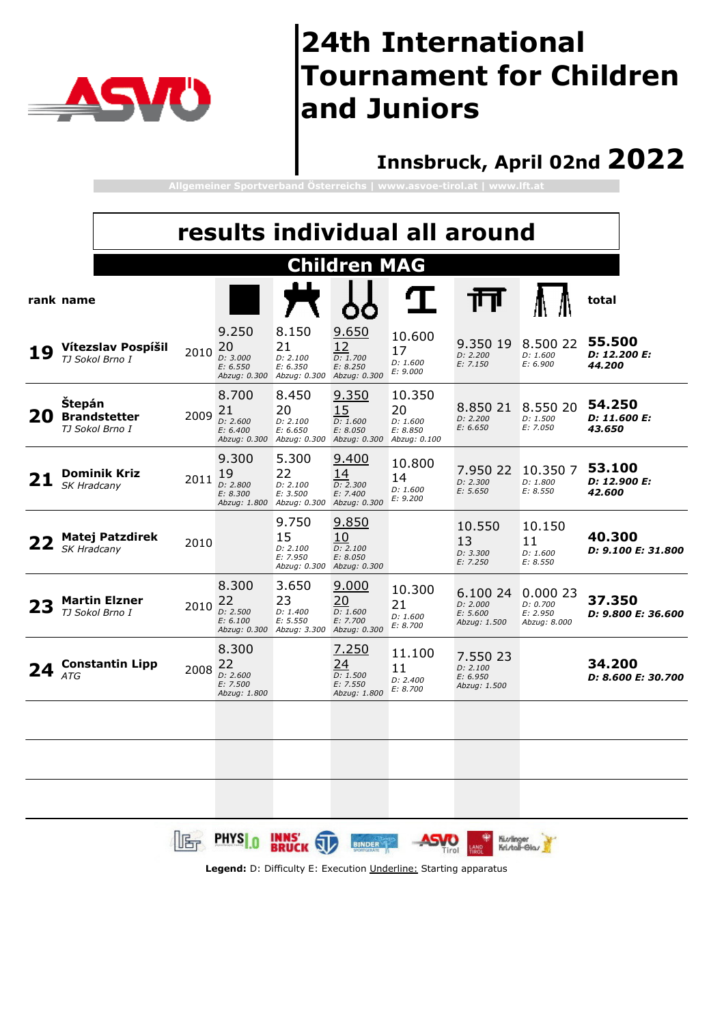

### **Innsbruck, April 02nd 2022**

**Allgemeiner Sportverband Österreichs | www.asvoe-tirol.at | www.lft.at**

|    |             |                                         |      |                                                     |                                                                  |                                                                         |                                      | results individual all around                    |                                                 |                                  |
|----|-------------|-----------------------------------------|------|-----------------------------------------------------|------------------------------------------------------------------|-------------------------------------------------------------------------|--------------------------------------|--------------------------------------------------|-------------------------------------------------|----------------------------------|
|    |             |                                         |      |                                                     |                                                                  | <b>Children MAG</b>                                                     |                                      |                                                  |                                                 |                                  |
|    | rank name   |                                         |      |                                                     |                                                                  |                                                                         |                                      |                                                  |                                                 | total                            |
|    |             | Vítezslav Pospíšil<br>TJ Sokol Brno I   | 2010 | 9.250<br>20<br>D: 3.000<br>E: 6.550                 | 8.150<br>21<br>D: 2.100<br>E: 6.350<br>Abzug: 0.300 Abzug: 0.300 | 9.650<br>12<br>D: 1.700<br>E: 8.250<br>Abzug: 0.300                     | 10.600<br>17<br>D: 1.600<br>E: 9.000 | 9.350 19<br>D: 2.200<br>E: 7.150                 | 8.500 22<br>D: 1.600<br>E: 6.900                | 55.500<br>D: 12.200 E:<br>44.200 |
| 20 | Štepán      | <b>Brandstetter</b><br>TJ Sokol Brno I  | 2009 | 8.700<br>21<br>D: 2.600<br>E: 6.400                 | 8.450<br>20<br>D: 2.100<br>E: 6.650<br>Abzug: 0.300 Abzug: 0.300 | <u>9.350</u><br>15<br>D: 1.600<br>E: 8.050<br>Abzug: 0.300 Abzug: 0.100 | 10.350<br>20<br>D: 1.600<br>E: 8.850 | 8.850 21<br>D: 2.200<br>E: 6.650                 | 8.550 20<br>D: 1.500<br>E: 7.050                | 54.250<br>D: 11.600 E:<br>43.650 |
|    | SK Hradcany | Dominik Kriz                            | 2011 | 9.300<br>19<br>D: 2.800<br>E: 8.300                 | 5.300<br>22<br>D: 2.100<br>E: 3.500<br>Abzug: 1.800 Abzug: 0.300 | 9.400<br>14<br>D: 2.300<br>E: 7.400<br>Abzug: 0.300                     | 10.800<br>14<br>D: 1.600<br>E: 9.200 | 7.950 22<br>D: 2.300<br>E: 5.650                 | 10.350 7<br>D: 1.800<br>E: 8.550                | 53.100<br>D: 12.900 E:<br>42.600 |
|    | SK Hradcany | <b>Matej Patzdirek</b>                  | 2010 |                                                     | 9.750<br>15<br>D: 2.100<br>E: 7.950<br>Abzug: 0.300              | 9.850<br>10<br>D: 2.100<br>E: 8.050<br>Abzug: 0.300                     |                                      | 10.550<br>13<br>D: 3.300<br>E: 7.250             | 10.150<br>11<br>D: 1.600<br>E: 8.550            | 40.300<br>D: 9.100 E: 31.800     |
|    |             | <b>Martin Elzner</b><br>TJ Sokol Brno I | 2010 | 8.300<br>22<br>D: 2.500<br>E: 6.100                 | 3.650<br>23<br>D: 1.400<br>E: 5.550<br>Abzug: 0.300 Abzug: 3.300 | 9.000<br>20<br>D: 1.600<br>E: 7.700<br>Abzug: 0.300                     | 10.300<br>21<br>D: 1.600<br>E: 8.700 | 6.100 24<br>D: 2.000<br>E: 5.600<br>Abzug: 1.500 | 0.00023<br>D: 0.700<br>E: 2.950<br>Abzug: 8.000 | 37.350<br>D: 9.800 E: 36.600     |
|    | ATG         | <b>Constantin Lipp</b>                  | 2008 | 8.300<br>22<br>D: 2.600<br>E: 7.500<br>Abzug: 1.800 |                                                                  | 7.250<br>24<br>D: 1.500<br>E: 7.550<br>Abzug: 1.800                     | 11.100<br>11<br>D: 2.400<br>E: 8.700 | 7.550 23<br>D: 2.100<br>E: 6.950<br>Abzug: 1.500 |                                                 | 34.200<br>D: 8.600 E: 30.700     |
|    |             |                                         |      | <b>IS PHYSI.0 INNS' WAS</b>                         |                                                                  | <b>BINDER</b>                                                           | ASVO                                 |                                                  | Kivlinger<br>Kristall-Glas                      |                                  |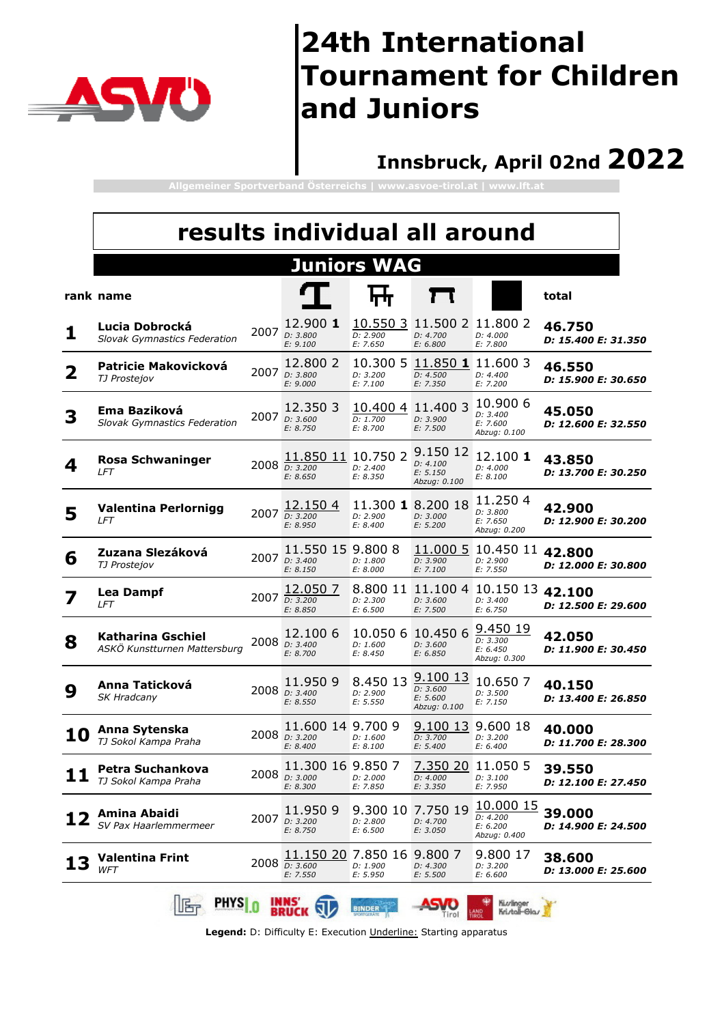

#### **Innsbruck, April 02nd 2022**

**Allgemeiner Sportverband Österreichs | www.asvoe-tirol.at | www.lft.at**

|                         | results individual all around                         |      |                                                             |                                  |                                                    |                                                     |                                      |  |  |  |  |  |
|-------------------------|-------------------------------------------------------|------|-------------------------------------------------------------|----------------------------------|----------------------------------------------------|-----------------------------------------------------|--------------------------------------|--|--|--|--|--|
|                         |                                                       |      |                                                             | <b>Juniors WAG</b>               |                                                    |                                                     |                                      |  |  |  |  |  |
|                         | rank name                                             |      |                                                             |                                  |                                                    |                                                     | total                                |  |  |  |  |  |
| 1                       | Lucia Dobrocká<br><b>Slovak Gymnastics Federation</b> |      | 12.900 1<br>2007 <i>D:</i> 3.800<br>E: 9.100                | D: 2.900<br>E: 7.650             | 10.550 3 11.500 2 11.800 2<br>D: 4.700<br>E: 6.800 | D: 4.000<br>E: 7.800                                | 46.750<br>D: 15.400 E: 31.350        |  |  |  |  |  |
| $\overline{\mathbf{2}}$ | Patricie Makovicková<br>TJ Prostejov                  | 2007 | 12.800 2<br>D: 3.800<br>E: 9.000                            | 10,300 5<br>D: 3.200<br>E: 7.100 | 11.850 1 11.600 3<br>D: 4.500<br>E: 7.350          | D: 4.400<br>E: 7.200                                | 46.550<br>D: 15.900 E: 30.650        |  |  |  |  |  |
| 3                       | Ema Baziková<br><b>Slovak Gymnastics Federation</b>   |      | 12.350 3<br>2007 D: 3.600<br>E: 8.750                       | 10.400 4<br>D: 1.700<br>E: 8.700 | 11.400 3<br>D: 3.900<br>E: 7.500                   | 10.900 6<br>D: 3.400<br>E: 7.600<br>Abzug: 0.100    | 45.050<br>D: 12.600 E: 32.550        |  |  |  |  |  |
| 4                       | <b>Rosa Schwaninger</b><br>LFT                        |      | 11.850 11 10.750 2<br>2008 $\frac{1}{D: 3.200}$<br>E: 8.650 | D: 2.400<br>E: 8.350             | 9.150 12<br>D: 4.100<br>E: 5.150<br>Abzug: 0.100   | 12.100 1<br>D: 4.000<br>E: 8.100                    | 43.850<br>D: 13.700 E: 30.250        |  |  |  |  |  |
| 5                       | <b>Valentina Perlornigg</b><br>LFT                    |      | 12.150 4<br>2007 D: 3.200<br>E: 8.950                       | D: 2.900<br>E: 8,400             | 11.300 1 8.200 18<br>D: 3.000<br>E: 5.200          | 11.2504<br>D: 3.800<br>E: 7.650<br>Abzug: 0.200     | 42.900<br>D: 12.900 E: 30.200        |  |  |  |  |  |
| 6                       | Zuzana Slezáková<br>TJ Prostejov                      |      | 11.550 15 9.800 8<br>2007 D: 3.400<br>E: 8.150              | D: 1.800<br>E: 8.000             | 11.000 5<br>D: 3.900<br>E: 7.100                   | 10.450 11<br>D: 2.900<br>E: 7.550                   | 42.800<br>D: 12.000 E: 30.800        |  |  |  |  |  |
|                         | <b>Lea Dampf</b><br>LFT                               |      | 12.050 7<br>2007 $\frac{1}{D: 3.200}$<br>E: 8.850           | D: 2.300<br>E: 6.500             | D: 3.600<br>E: 7.500                               | 8.800 11 11.100 4 10.150 13<br>D: 3.400<br>E: 6.750 | 42.100<br>D: 12.500 E: 29.600        |  |  |  |  |  |
| 8                       | Katharina Gschiel<br>ASKÖ Kunstturnen Mattersburg     |      | 12,100 6<br>2008 $_{D: 3.400}$<br>E: 8.700                  | 10.050 6<br>D: 1.600<br>E: 8.450 | 10.450 6<br>D: 3.600<br>E: 6.850                   | 9.450 19<br>D: 3.300<br>E: 6.450<br>Abzug: 0.300    | 42.050<br>D: 11.900 E: 30.450        |  |  |  |  |  |
| 9                       | Anna Taticková<br>SK Hradcany                         |      | 11.950 9<br>2008 D: 3.400<br>E: 8.550                       | 8.450 13<br>D: 2.900<br>E: 5.550 | 9.100 13<br>D: 3.600<br>E: 5.600<br>Abzug: 0.100   | 10.6507<br>D: 3.500<br>E: 7.150                     | 40.150<br>D: 13.400 E: 26.850        |  |  |  |  |  |
| 10                      | Anna Sytenska<br>TJ Sokol Kampa Praha                 |      | 11.600 14 9.700 9<br>2008 D: 3.200<br>E: 8.400              | D: 1.600<br>E: 8.100             | 9.100 13<br>D: 3.700<br>E: 5.400                   | 9.600 18<br>D: 3.200<br>E: 6.400                    | 40.000<br>D: 11.700 E: 28.300        |  |  |  |  |  |
|                         | Petra Suchankova<br>TJ Sokol Kampa Praha              |      | 11.300 16 9.850 7<br>2008 D: 3.000<br>E: 8.300              | D: 2.000<br>E: 7.850             | <u>7.350 20</u><br>D: 4.000<br>E: 3.350            | 11.050 5<br>D: 3.100<br>E: 7.950                    | 39.550<br>D: 12.100 E: 27.450        |  |  |  |  |  |
|                         | Amina Abaidi<br>SV Pax Haarlemmermeer                 | 2007 | 11.9509<br>D: 3.200<br>E: 8.750                             | 9.300 10<br>D: 2.800<br>E: 6.500 | 7.750 19<br>D: 4.700<br>E: 3.050                   | 10.000 15<br>D: 4.200<br>E: 6.200<br>Abzug: 0.400   | 39.000<br>D: 14.900 E: 24.500        |  |  |  |  |  |
|                         | <b>Valentina Frint</b><br><b>WFT</b>                  | 2008 | 11.150 20 7.850 16<br>D: 3.600<br>E: 7.550                  | D: 1.900<br>E: 5.950             | 9.800 7<br>D: 4.300<br>E: 5.500                    | 9.800 17<br>D: 3.200<br>E: 6.600                    | 38.600<br><i>D: 13.000 E: 25.600</i> |  |  |  |  |  |
|                         | <b>PHYS</b>                                           |      | <b>INNS</b><br><b>BRUCK</b>                                 | BINDER                           | Tirol                                              | Kiurlinger<br>Kristall-Glas<br>LAND<br>TIROL        |                                      |  |  |  |  |  |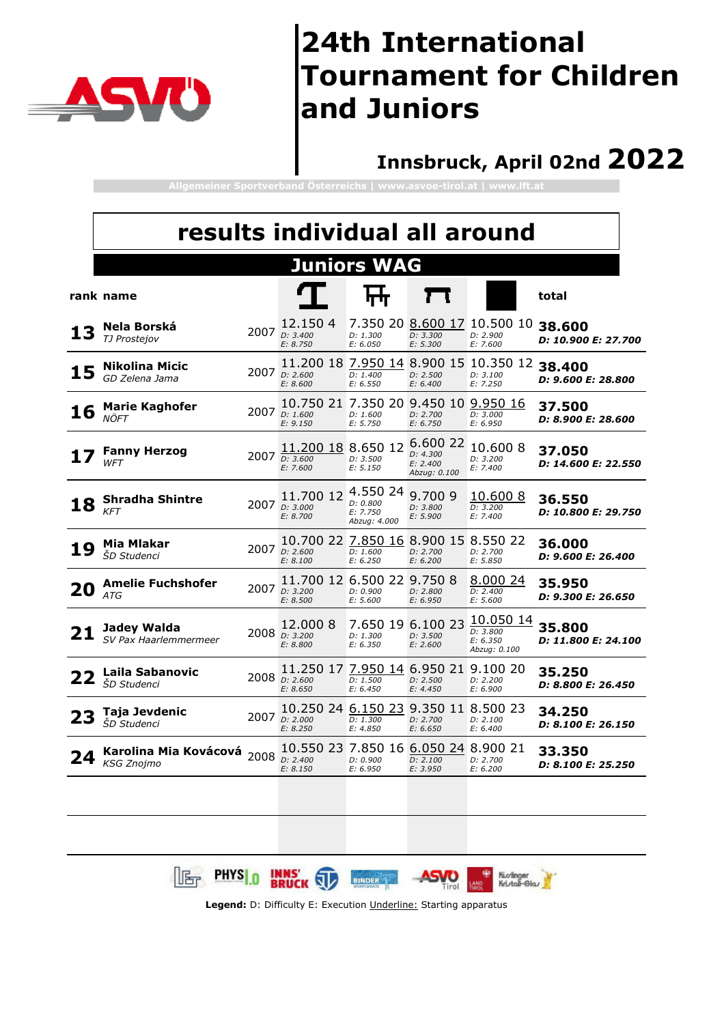

#### **Innsbruck, April 02nd 2022**

**Allgemeiner Sportverband Österreichs | www.asvoe-tirol.at | www.lft.at**

| results individual all around           |                                    |                                   |                                                                                                                                             |                                                  |                                                                                                                   |                                                                                                                                                                                                                              |  |
|-----------------------------------------|------------------------------------|-----------------------------------|---------------------------------------------------------------------------------------------------------------------------------------------|--------------------------------------------------|-------------------------------------------------------------------------------------------------------------------|------------------------------------------------------------------------------------------------------------------------------------------------------------------------------------------------------------------------------|--|
|                                         |                                    |                                   |                                                                                                                                             |                                                  |                                                                                                                   |                                                                                                                                                                                                                              |  |
|                                         |                                    |                                   |                                                                                                                                             |                                                  |                                                                                                                   | total                                                                                                                                                                                                                        |  |
| Nela Borská<br>TJ Prostejov             |                                    | 12.1504<br>E: 8.750               | D: 1.300<br>E: 6.050                                                                                                                        | D: 3.300<br>E: 5.300                             | D: 2.900<br>E: 7.600                                                                                              | 38.600<br>D: 10.900 E: 27.700                                                                                                                                                                                                |  |
| <b>Nikolina Micic</b><br>GD Zelena Jama |                                    | D: 2.600<br>E: 8.600              | D: 1.400<br>E: 6.550                                                                                                                        | D: 2.500<br>E: 6.400                             | D: 3.100<br>E: 7.250                                                                                              | 38.400<br>D: 9.600 E: 28.800                                                                                                                                                                                                 |  |
| <b>Marie Kaghofer</b><br>NÖFT           |                                    | E: 9.150                          | D: 1.600<br>E: 5.750                                                                                                                        | D: 2.700<br>E: 6.750                             | D: 3.000<br>E: 6.950                                                                                              | 37.500<br>D: 8.900 E: 28.600                                                                                                                                                                                                 |  |
| <b>Fanny Herzog</b><br>WFT              |                                    | D: 3.600<br>E: 7.600              | D: 3.500<br>E: 5.150                                                                                                                        | 6.600 22<br>D: 4.300<br>E: 2.400<br>Abzug: 0.100 | 10.600 8<br>D: 3.200<br>E: 7.400                                                                                  | 37.050<br>D: 14.600 E: 22.550                                                                                                                                                                                                |  |
| <b>Shradha Shintre</b><br><b>KFT</b>    |                                    | 11.700 12<br>D: 3.000<br>E: 8.700 | D: 0.800<br>E: 7.750<br>Abzug: 4.000                                                                                                        | 9.700 9<br>D: 3.800<br>E: 5.900                  | <u>10.600 8</u><br>D: 3.200<br>E: 7.400                                                                           | 36.550<br>D: 10.800 E: 29.750                                                                                                                                                                                                |  |
| Mia Mlakar<br><i>ŠD Studenci</i>        |                                    | E: 8.100                          | D: 1.600<br>E: 6.250                                                                                                                        | D: 2.700<br>E: 6.200                             | D: 2.700<br>E: 5.850                                                                                              | 36.000<br>D: 9.600 E: 26.400                                                                                                                                                                                                 |  |
| <b>Amelie Fuchshofer</b><br><b>ATG</b>  |                                    | D: 3.200<br>E: 8.500              | D: 0.900<br>E: 5.600                                                                                                                        | D: 2.800<br>E: 6.950                             | 8.000 24<br>D: 2.400<br>E: 5.600                                                                                  | 35.950<br>D: 9.300 E: 26.650                                                                                                                                                                                                 |  |
| Jadey Walda<br>SV Pax Haarlemmermeer    |                                    | 12.000 8<br>E: 8.800              | D: 1.300<br>E: 6.350                                                                                                                        | D: 3.500<br>E: 2.600                             | 10.050 14<br>D: 3.800<br>E: 6.350<br>Abzug: 0.100                                                                 | 35.800<br>D: 11.800 E: 24.100                                                                                                                                                                                                |  |
| <b>Laila Sabanovic</b><br>ŠD Studenci   |                                    | E: 8.650                          | D: 1.500<br>E: 6.450                                                                                                                        | D: 2.500<br>E: 4.450                             | D: 2.200<br>E: 6.900                                                                                              | 35.250<br>D: 8.800 E: 26.450                                                                                                                                                                                                 |  |
| Taja Jevdenic<br><i>ŠD Studenci</i>     |                                    | D: 2.000<br>E: 8.250              | D: 1.300<br>E: 4.850                                                                                                                        | D: 2.700<br>E: 6.650                             | D: 2.100<br>E: 6.400                                                                                              | 34.250<br><i>D: 8.100 E: 26.150</i>                                                                                                                                                                                          |  |
| <b>KSG Znoimo</b>                       |                                    | D: 2.400<br>E: 8.150              | D: 0.900<br>E: 6.950                                                                                                                        | D: 2.100<br>E: 3.950                             | D: 2.700<br>E: 6.200                                                                                              | 33.350<br>D: 8.100 E: 25.250                                                                                                                                                                                                 |  |
|                                         | rank name<br>Karolina Mia Kovácová |                                   | 2007 D: 3.400<br>2007<br>2007 <i>p</i> : 1.600<br>2007<br>2007<br>2007 $D: 2.600$<br>2007<br>2008 D: 3.200<br>2008 D: 2.600<br>2007<br>2008 | 11.200 18 8.650 12<br>4.550 24<br>10.550 23      | <b>Juniors WAG</b><br>11.700 12 6.500 22 9.750 8<br>7.650 19 6.100 23<br>11.250 17 7.950 14<br>10.250 24 6.150 23 | 7.350 20 8.600 17 10.500 10<br>11.200 18 7.950 14 8.900 15 10.350 12<br>10.750 21 7.350 20 9.450 10 9.950 16<br>10.700 22 7.850 16 8.900 15 8.550 22<br>6.950 21 9.100 20<br>9.350 11 8.500 23<br>7.850 16 6.050 24 8.900 21 |  |

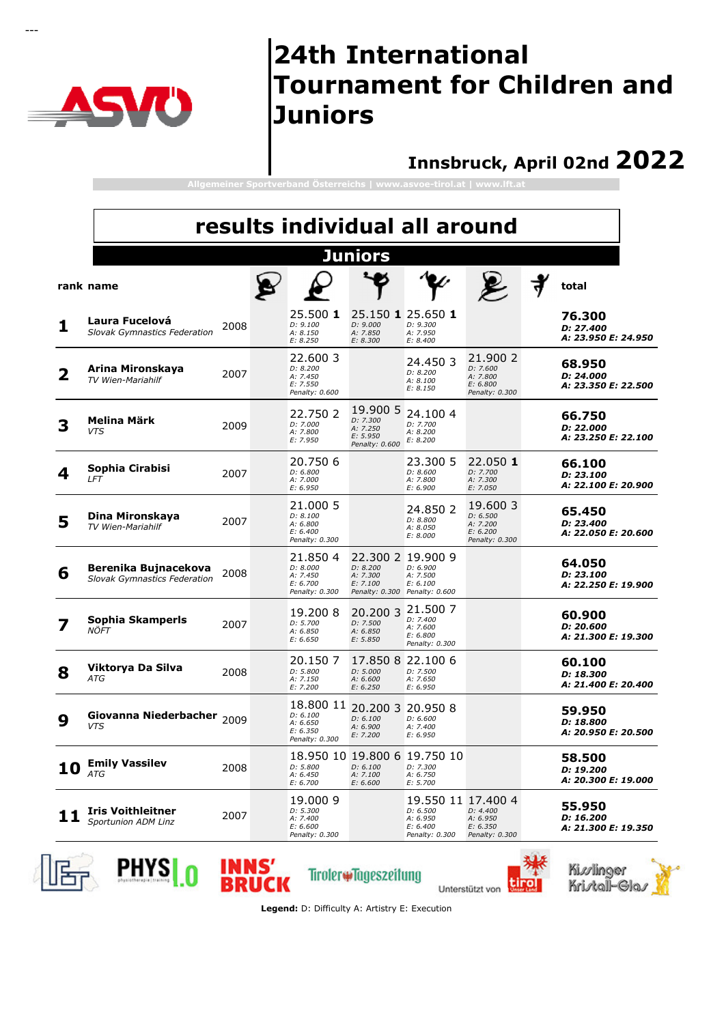

---

### **24th International Tournament for Children and Juniors**

#### **Innsbruck, April 02nd 2022**

**Allgemeiner Sportverband Österreichs | www.asvoe-tirol.at | www.lft.at**

|    | results individual all around                               |      |  |                                                                 |                                                                                        |                                                                          |                                                                |                                            |  |
|----|-------------------------------------------------------------|------|--|-----------------------------------------------------------------|----------------------------------------------------------------------------------------|--------------------------------------------------------------------------|----------------------------------------------------------------|--------------------------------------------|--|
|    |                                                             |      |  |                                                                 | <b>Juniors</b>                                                                         |                                                                          |                                                                |                                            |  |
|    | rank name                                                   |      |  |                                                                 |                                                                                        |                                                                          |                                                                | total                                      |  |
| ı  | Laura Fucelová<br>Slovak Gymnastics Federation              | 2008 |  | 25.500 1<br>D: 9.100<br>A: 8.150<br>E: 8.250                    | 25.150 1 25.650 1<br>D: 9.000<br>A: 7.850<br>E: 8.300                                  | D: 9.300<br>A: 7.950<br>E: 8.400                                         |                                                                | 76.300<br>D: 27.400<br>A: 23.950 E: 24.950 |  |
| 2  | Arina Mironskaya<br>TV Wien-Mariahilf                       | 2007 |  | 22,600 3<br>D: 8.200<br>A: 7.450<br>E: 7.550<br>Penalty: 0.600  |                                                                                        | 24.450 3<br>D: 8.200<br>A: 8.100<br>E: 8.150                             | 21.900 2<br>D: 7.600<br>A: 7.800<br>E: 6.800<br>Penalty: 0.300 | 68.950<br>D: 24.000<br>A: 23.350 E: 22.500 |  |
|    | Melina Märk<br><b>VTS</b>                                   | 2009 |  | 22,750 2<br>D: 7.000<br>A: 7.800<br>E: 7.950                    | 19,900 5<br>D: 7.300<br>A: 7.250<br>E: 5.950<br>Penalty: 0.600                         | 24.1004<br>D: 7.700<br>A: 8.200<br>E: 8.200                              |                                                                | 66.750<br>D: 22.000<br>A: 23.250 E: 22.100 |  |
|    | Sophia Cirabisi<br>LFT                                      | 2007 |  | 20.750 6<br>D: 6.800<br>A: 7.000<br>E: 6.950                    |                                                                                        | 23.300 5<br>D: 8.600<br>A: 7.800<br>E: 6.900                             | 22.050 1<br>D: 7.700<br>A: 7.300<br>E: 7.050                   | 66.100<br>D: 23.100<br>A: 22.100 E: 20.900 |  |
| 5  | Dina Mironskaya<br>TV Wien-Mariahilf                        | 2007 |  | 21.000 5<br>D: 8.100<br>A: 6.800<br>E: 6.400<br>Penalty: 0.300  |                                                                                        | 24.850 2<br>D: 8.800<br>A: 8.050<br>E: 8.000                             | 19,600 3<br>D: 6.500<br>A: 7.200<br>E: 6.200<br>Penalty: 0.300 | 65.450<br>D: 23.400<br>A: 22.050 E: 20.600 |  |
| 6  | Berenika Bujnacekova<br><b>Slovak Gymnastics Federation</b> | 2008 |  | 21.850 4<br>D: 8.000<br>A: 7.450<br>E: 6.700<br>Penalty: 0.300  | 22.300 2 19.900 9<br>D: 8.200<br>A: 7.300<br>E: 7.100<br>Penalty: 0.300 Penalty: 0.600 | D: 6.900<br>A: 7.500<br>E: 6.100                                         |                                                                | 64.050<br>D: 23.100<br>A: 22.250 E: 19.900 |  |
|    | Sophia Skamperls<br>NÖFT                                    | 2007 |  | 19,200 8<br>D: 5.700<br>A: 6.850<br>E: 6.650                    | 20.200 3<br>D: 7.500<br>A: 6.850<br>E: 5.850                                           | 21,500 7<br>D: 7.400<br>A: 7.600<br>E: 6.800<br>Penalty: 0.300           |                                                                | 60.900<br>D: 20.600<br>A: 21.300 E: 19.300 |  |
| 8  | Viktorya Da Silva<br><b>ATG</b>                             | 2008 |  | 20.150 7<br>D: 5.800<br>A: 7.150<br>E: 7.200                    | D: 5.000<br>A: 6.600<br>E: 6.250                                                       | 17.850 8 22.100 6<br>D: 7.500<br>A: 7.650<br>E: 6.950                    |                                                                | 60.100<br>D: 18.300<br>A: 21.400 E: 20.400 |  |
| 9  | Giovanna Niederbacher 2009<br><b>VTS</b>                    |      |  | 18.800 11<br>D: 6.100<br>A: 6.650<br>E: 6.350<br>Penalty: 0.300 | 20.200 3 20.950 8<br>D: 6.100<br>A: 6.900<br>E: 7.200                                  | D: 6.600<br>A: 7.400<br>E: 6.950                                         |                                                                | 59.950<br>D: 18.800<br>A: 20.950 E: 20.500 |  |
| 10 | <b>Emily Vassilev</b><br>ATG                                | 2008 |  | D: 5.800<br>A: 6.450<br>E: 6.700                                | D: 6.100<br>A: 7.100<br>E: 6.600                                                       | 18.950 10 19.800 6 19.750 10<br>D: 7.300<br>A: 6.750<br>E: 5.700         |                                                                | 58.500<br>D: 19.200<br>A: 20.300 E: 19.000 |  |
|    | <b>Iris Voithleitner</b><br><b>Sportunion ADM Linz</b>      | 2007 |  | 19.000 9<br>D: 5.300<br>A: 7.400<br>E: 6.600<br>Penalty: 0.300  |                                                                                        | 19.550 11 17.400 4<br>D: 6.500<br>A: 6.950<br>E: 6.400<br>Penalty: 0.300 | D: 4.400<br>A: 6.950<br>E: 6.350<br>Penalty: 0.300             | 55.950<br>D: 16.200<br>A: 21.300 E: 19.350 |  |



PHYS<sub>0</sub> INNS'<br>BRUC

TirolerwTageszeitung





**Legend:** D: Difficulty A: Artistry E: Execution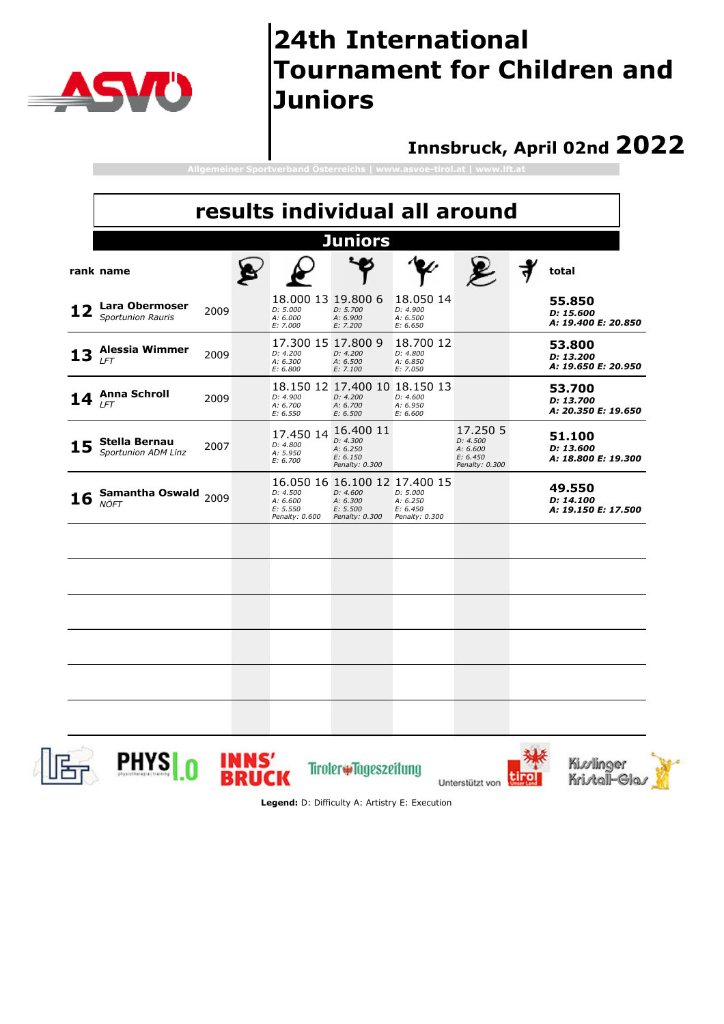

#### **Innsbruck, April 02nd 2022**

| results individual all around              |      |  |                                                        |                                                                                     |                                                    |                                                                |  |                                            |
|--------------------------------------------|------|--|--------------------------------------------------------|-------------------------------------------------------------------------------------|----------------------------------------------------|----------------------------------------------------------------|--|--------------------------------------------|
|                                            |      |  |                                                        | <b>Juniors</b>                                                                      |                                                    |                                                                |  |                                            |
| rank name                                  |      |  |                                                        |                                                                                     |                                                    |                                                                |  | total                                      |
| Lara Obermoser<br><b>Sportunion Rauris</b> | 2009 |  | 18.000 13 19.800 6<br>D: 5.000<br>A: 6.000<br>E: 7.000 | D: 5.700<br>A: 6.900<br>E: 7.200                                                    | 18.050 14<br>D: 4.900<br>A: 6.500<br>E: 6.650      |                                                                |  | 55.850<br>D: 15,600<br>A: 19.400 E: 20.850 |
| <b>Alessia Wimmer</b><br><b>LFT</b>        | 2009 |  | 17.300 15 17.800 9<br>D: 4.200<br>A: 6.300<br>E: 6.800 | D: 4.200<br>A: 6.500<br>E: 7.100                                                    | 18.700 12<br>D: 4.800<br>A: 6.850<br>E: 7.050      |                                                                |  | 53,800<br>D: 13.200<br>A: 19.650 E: 20.950 |
| <b>Anna Schroll</b><br>LFT                 | 2009 |  | D: 4.900<br>A: 6.700<br>E: 6.550                       | 18.150 12 17.400 10 18.150 13<br>D: 4.200<br>A: 6.700<br>E: 6.500                   | D: 4.600<br>A: 6.950<br>E: 6.600                   |                                                                |  | 53.700<br>D: 13.700<br>A: 20.350 E: 19.650 |
| Stella Bernau<br>Sportunion ADM Linz       | 2007 |  | 17.450 14<br>D: 4.800<br>A: 5.950<br>E: 6.700          | 16.400 11<br>D: 4.300<br>A: 6.250<br>E: 6.150<br>Penalty: 0.300                     |                                                    | 17.250 5<br>D: 4.500<br>A: 6.600<br>E: 6.450<br>Penalty: 0.300 |  | 51.100<br>D: 13.600<br>A: 18.800 E: 19.300 |
| Samantha Oswald<br><b>NÖFT</b>             | 2009 |  | D: 4.500<br>A: 6.600<br>E: 5.550<br>Penalty: 0.600     | 16.050 16 16.100 12 17.400 15<br>D: 4.600<br>A: 6.300<br>E: 5.500<br>Penalty: 0.300 | D: 5.000<br>A: 6.250<br>E: 6.450<br>Penalty: 0.300 |                                                                |  | 49.550<br>D: 14.100<br>A: 19.150 E: 17.500 |
|                                            |      |  |                                                        |                                                                                     |                                                    |                                                                |  |                                            |
|                                            |      |  |                                                        |                                                                                     |                                                    |                                                                |  |                                            |
|                                            |      |  |                                                        |                                                                                     |                                                    |                                                                |  |                                            |
|                                            |      |  |                                                        |                                                                                     |                                                    |                                                                |  |                                            |
|                                            |      |  |                                                        |                                                                                     |                                                    |                                                                |  |                                            |

PHYS<sub>0</sub>



Tiroler#Tageszeitung Unterstützt von







**Legend:** D: Difficulty A: Artistry E: Execution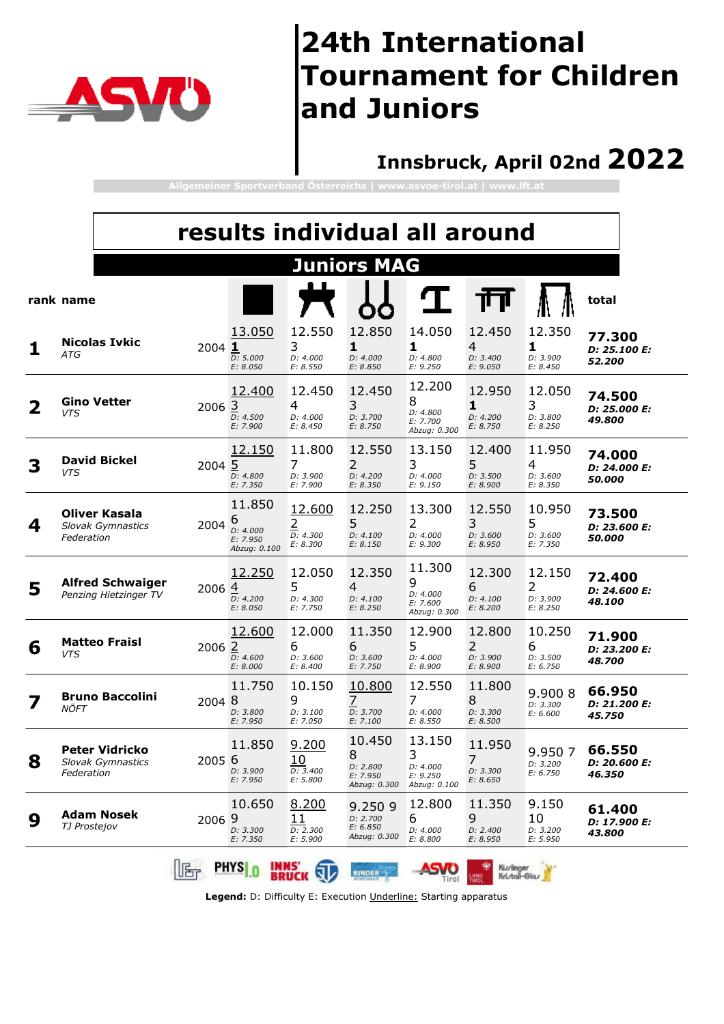

### **Innsbruck, April 02nd 2022**

**Allgemeiner Sportverband Österreichs | www.asvoe-tirol.at | www.lft.at**

|   | results individual all around |                                                  |        |                                                     |                                                  |                                                     |                                                     |                                                  |                                     |                                  |
|---|-------------------------------|--------------------------------------------------|--------|-----------------------------------------------------|--------------------------------------------------|-----------------------------------------------------|-----------------------------------------------------|--------------------------------------------------|-------------------------------------|----------------------------------|
|   |                               |                                                  |        |                                                     |                                                  | <b>Juniors MAG</b>                                  |                                                     |                                                  |                                     |                                  |
|   | rank name                     |                                                  |        |                                                     |                                                  |                                                     |                                                     | Ш                                                |                                     | total                            |
|   | ATG                           | <b>Nicolas Ivkic</b>                             | 2004 1 | 13.050<br>D: 5.000<br>E: 8.050                      | 12.550<br>3<br>D: 4.000<br>E: 8.550              | 12.850<br>1<br>D: 4.000<br>E: 8.850                 | 14.050<br>1<br>D: 4.800<br>E: 9.250                 | 12,450<br>4<br>D: 3.400<br>E: 9.050              | 12.350<br>1<br>D: 3.900<br>E: 8.450 | 77.300<br>D: 25.100 E:<br>52,200 |
|   | <b>VTS</b>                    | <b>Gino Vetter</b>                               | 2006 3 | 12.400<br>D: 4.500<br>E: 7.900                      | 12.450<br>4<br>D: 4.000<br>E: 8.450              | 12.450<br>3<br>D: 3.700<br>E: 8.750                 | 12.200<br>8<br>D: 4.800<br>E: 7.700<br>Abzug: 0.300 | 12.950<br>1<br>D: 4.200<br>E: 8.750              | 12.050<br>3<br>D: 3.800<br>E: 8.250 | 74.500<br>D: 25.000 E:<br>49.800 |
| 3 | <b>VTS</b>                    | <b>David Bickel</b>                              | 2004 5 | 12.150<br>D: 4.800<br>E: 7.350                      | 11.800<br>7<br>D: 3.900<br>E: 7.900              | 12.550<br>2<br>D: 4.200<br>E: 8.350                 | 13.150<br>3<br>D: 4.000<br>E: 9.150                 | 12.400<br>5<br>D: 3.500<br>E: 8.900              | 11.950<br>4<br>D: 3.600<br>E: 8.350 | 74.000<br>D: 24.000 E:<br>50.000 |
| 4 | Federation                    | <b>Oliver Kasala</b><br><b>Slovak Gymnastics</b> | 2004   | 11.850<br>6<br>D: 4.000<br>E: 7.950<br>Abzug: 0.100 | 12.600<br>$\overline{2}$<br>D: 4.300<br>E: 8.300 | 12,250<br>5<br>D: 4.100<br>E: 8.150                 | 13.300<br>2<br>D: 4.000<br>E: 9.300                 | 12.550<br>3<br>D: 3.600<br>E: 8.950              | 10.950<br>5<br>D: 3.600<br>E: 7.350 | 73.500<br>D: 23.600 E:<br>50.000 |
| 5 |                               | <b>Alfred Schwaiger</b><br>Penzing Hietzinger TV | 2006 4 | 12.250<br>D: 4.200<br>E: 8.050                      | 12.050<br>5<br>D: 4.300<br>E: 7.750              | 12.350<br>4<br>D: 4.100<br>E: 8.250                 | 11.300<br>9<br>D: 4.000<br>E: 7.600<br>Abzug: 0.300 | 12.300<br>6<br>D: 4.100<br>E: 8.200              | 12.150<br>2<br>D: 3.900<br>E: 8.250 | 72.400<br>D: 24.600 E:<br>48.100 |
| 6 | <b>VTS</b>                    | <b>Matteo Fraisl</b>                             | 2006 2 | 12.600<br>D: 4.600<br>E: 8.000                      | 12.000<br>6<br>D: 3.600<br>E: 8.400              | 11.350<br>6<br>D: 3.600<br>E: 7.750                 | 12.900<br>5<br>D: 4.000<br>E: 8.900                 | 12.800<br>2<br>D: 3.900<br>E: 8.900              | 10.250<br>6<br>D: 3.500<br>E: 6.750 | 71.900<br>D: 23.200 E:<br>48.700 |
| 7 | NÖFT                          | <b>Bruno Baccolini</b>                           | 2004 8 | 11.750<br>D: 3.800<br>E: 7.950                      | 10.150<br>9<br>D: 3.100<br>E: 7.050              | 10.800<br>7<br>D: 3.700<br>E: 7.100                 | 12.550<br>7<br>D: 4.000<br>E: 8.550                 | 11.800<br>8<br>D: 3.300<br>E: 8.500              | 9.900 8<br>D: 3.300<br>E: 6.600     | 66.950<br>D: 21.200 E:<br>45.750 |
| ŏ | Federation                    | <b>Peter Vidricko</b><br>Slovak Gymnastics       | 2005 6 | 11.850<br>D: 3.900<br>E: 7.950                      | 9.200<br>10<br>D: 3.400<br>E: 5.800              | 10.450<br>8<br>D: 2.800<br>E: 7.950<br>Abzug: 0.300 | 13.150<br>3<br>D: 4.000<br>E: 9.250<br>Abzug: 0.100 | 11.950<br>$\overline{7}$<br>D: 3.300<br>E: 8.650 | 9.950 7<br>D: 3.200<br>E: 6.750     | 66.550<br>D: 20.600 E:<br>46.350 |
| 9 | TJ Prostejov                  | <b>Adam Nosek</b>                                | 2006 9 | 10.650<br>D: 3.300<br>E: 7.350                      | 8.200<br>11<br>D: 2.300<br>E: 5.900              | 9.2509<br>D: 2.700<br>E: 6.850<br>Abzug: 0.300      | 12.800<br>6<br>D: 4.000<br>E: 8.800                 | 11.350<br>9<br>D: 2.400<br>E: 8.950              | 9.150<br>10<br>D: 3.200<br>E: 5.950 | 61.400<br>D: 17.900 E:<br>43.800 |
|   |                               |                                                  |        | <b>PHYS</b> 0<br><b>INNS'</b>                       | <b>BRUCK</b>                                     | <b>BINDER</b>                                       | Tirol                                               | Ki.v/linger<br>Kristal-Glas                      |                                     |                                  |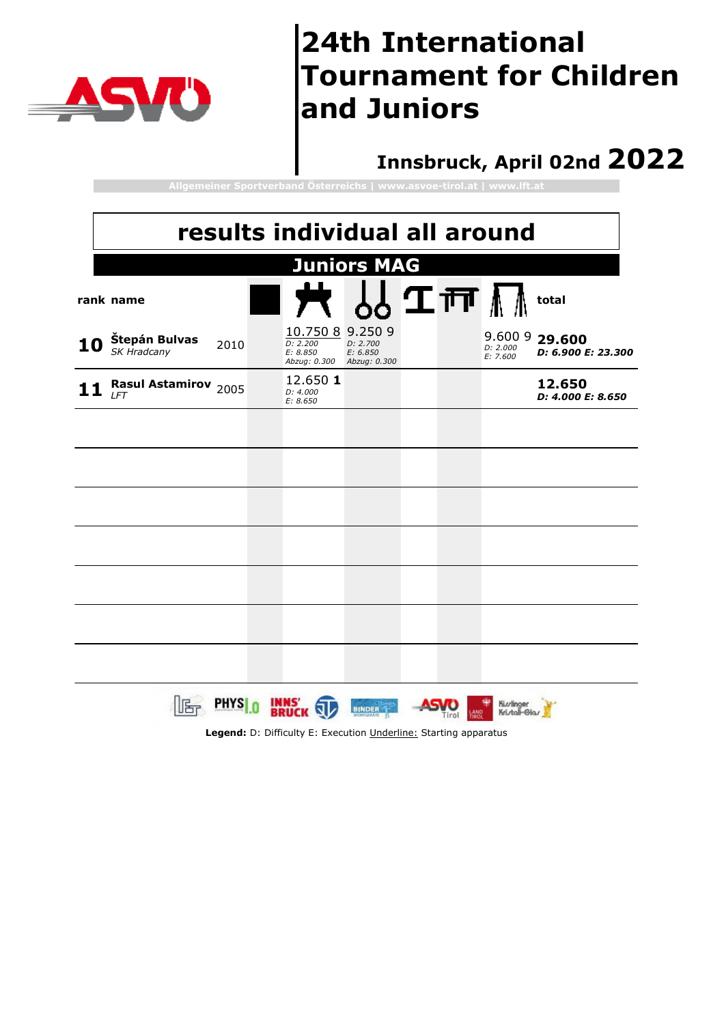

#### **Innsbruck, April 02nd 2022**

**Allgemeiner Sportverband Österreichs | www.asvoe-tirol.at | www.lft.at**

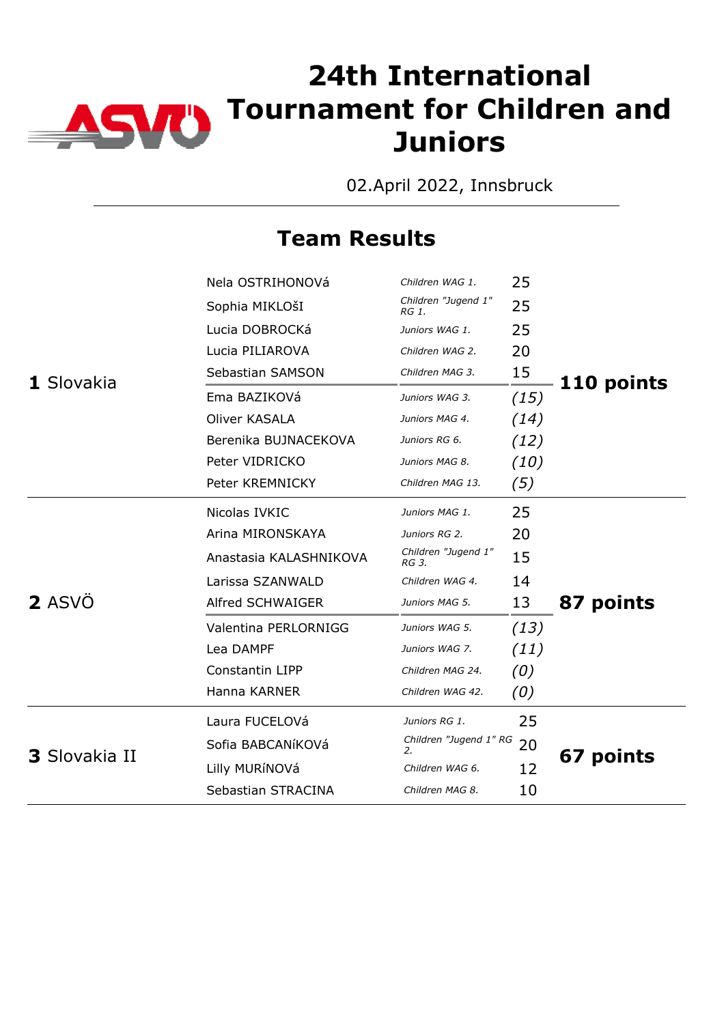

02.April 2022, Innsbruck

|                      | Nela OSTRIHONOVá       | Children WAG 1.              | 25   |            |
|----------------------|------------------------|------------------------------|------|------------|
|                      | Sophia MIKLOŠI         | Children "Jugend 1"<br>RG 1. | 25   |            |
|                      | Lucia DOBROCKá         | Juniors WAG 1.               | 25   |            |
|                      | Lucia PILIAROVA        | Children WAG 2.              | 20   |            |
| 1 Slovakia           | Sebastian SAMSON       | Children MAG 3.              | 15   | 110 points |
|                      | Ema BAZIKOVá           | Juniors WAG 3.               | (15) |            |
|                      | Oliver KASALA          | Juniors MAG 4.               | (14) |            |
|                      | Berenika BUJNACEKOVA   | Juniors RG 6.                | (12) |            |
|                      | Peter VIDRICKO         | Juniors MAG 8.               | (10) |            |
|                      | Peter KREMNICKY        | Children MAG 13.             | (5)  |            |
|                      | Nicolas IVKIC          | Juniors MAG 1.               | 25   |            |
|                      | Arina MIRONSKAYA       | Juniors RG 2.                | 20   |            |
|                      | Anastasia KALASHNIKOVA | Children "Jugend 1"<br>RG 3. | 15   |            |
|                      | Larissa SZANWALD       | Children WAG 4.              | 14   |            |
| 2 ASVÖ               | Alfred SCHWAIGER       | Juniors MAG 5.               | 13   | 87 points  |
|                      | Valentina PERLORNIGG   | Juniors WAG 5.               | (13) |            |
|                      | Lea DAMPF              | Juniors WAG 7.               | (11) |            |
|                      | Constantin LIPP        | Children MAG 24.             | (0)  |            |
|                      | Hanna KARNER           | Children WAG 42.             | (0)  |            |
|                      | Laura FUCELOVá         | Juniors RG 1.                | 25   |            |
| <b>3</b> Slovakia II | Sofia BABCANíKOVá      | Children "Jugend 1" RG<br>2. | 20   |            |
|                      | Lilly MURÍNOVá         | Children WAG 6.              | 12   | 67 points  |
|                      | Sebastian STRACINA     | Children MAG 8.              | 10   |            |
|                      |                        |                              |      |            |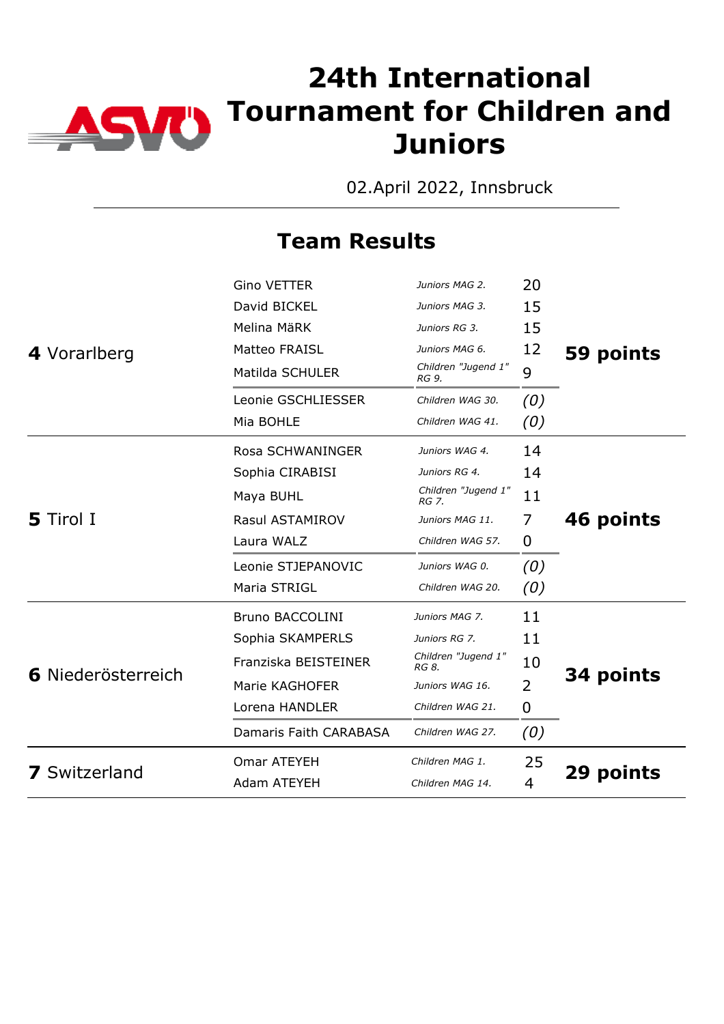

02.April 2022, Innsbruck

|                                                                                                                                                                                                                                                                                                                          | <b>Gino VETTER</b> | Juniors MAG 2.               | 20  |           |  |
|--------------------------------------------------------------------------------------------------------------------------------------------------------------------------------------------------------------------------------------------------------------------------------------------------------------------------|--------------------|------------------------------|-----|-----------|--|
|                                                                                                                                                                                                                                                                                                                          | David BICKEL       | Juniors MAG 3.               | 15  |           |  |
|                                                                                                                                                                                                                                                                                                                          | Melina MäRK        | Juniors RG 3.                | 15  |           |  |
| 4 Vorarlberg                                                                                                                                                                                                                                                                                                             | Matteo FRAISL      | Juniors MAG 6.               | 12  | 59 points |  |
|                                                                                                                                                                                                                                                                                                                          | Matilda SCHULER    | Children "Jugend 1"<br>RG 9. | 9   |           |  |
|                                                                                                                                                                                                                                                                                                                          | Leonie GSCHLIESSER | Children WAG 30.             | (0) |           |  |
|                                                                                                                                                                                                                                                                                                                          | Mia BOHLE          | Children WAG 41.             | (0) |           |  |
|                                                                                                                                                                                                                                                                                                                          | Rosa SCHWANINGER   | Juniors WAG 4.               | 14  |           |  |
|                                                                                                                                                                                                                                                                                                                          | Sophia CIRABISI    | Juniors RG 4.                | 14  |           |  |
|                                                                                                                                                                                                                                                                                                                          | Maya BUHL          | Children "Jugend 1"<br>RG 7. | 11  |           |  |
| <b>5</b> Tirol I                                                                                                                                                                                                                                                                                                         | Rasul ASTAMIROV    | Juniors MAG 11.              | 7   | 46 points |  |
|                                                                                                                                                                                                                                                                                                                          | Laura WALZ         | Children WAG 57.             | 0   |           |  |
|                                                                                                                                                                                                                                                                                                                          | Leonie STJEPANOVIC | Juniors WAG 0.               | (0) |           |  |
| Maria STRIGL<br>Children WAG 20.<br><b>Bruno BACCOLINI</b><br>Juniors MAG 7.<br>Sophia SKAMPERLS<br>Juniors RG 7.<br>Children "Jugend 1"<br>Franziska BEISTEINER<br>RG 8.<br>6 Niederösterreich<br>Marie KAGHOFER<br>Juniors WAG 16.<br>Lorena HANDLER<br>Children WAG 21.<br>Damaris Faith CARABASA<br>Children WAG 27. | (0)                |                              |     |           |  |
|                                                                                                                                                                                                                                                                                                                          |                    |                              | 11  |           |  |
|                                                                                                                                                                                                                                                                                                                          |                    |                              | 11  |           |  |
|                                                                                                                                                                                                                                                                                                                          |                    |                              | 10  | 34 points |  |
|                                                                                                                                                                                                                                                                                                                          |                    |                              | 2   |           |  |
|                                                                                                                                                                                                                                                                                                                          |                    |                              | 0   |           |  |
|                                                                                                                                                                                                                                                                                                                          |                    |                              | (0) |           |  |
|                                                                                                                                                                                                                                                                                                                          | Omar ATEYEH        | Children MAG 1.              | 25  |           |  |
| <b>7</b> Switzerland                                                                                                                                                                                                                                                                                                     | Adam ATEYEH        | Children MAG 14.             | 4   | 29 points |  |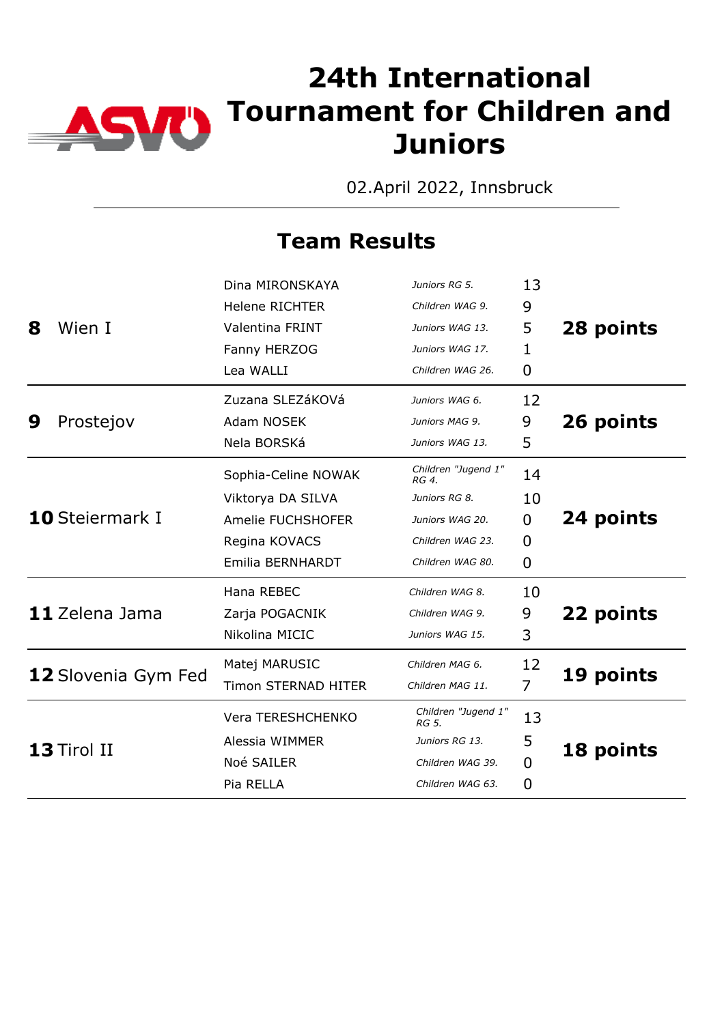

02.April 2022, Innsbruck

|   |                        | Dina MIRONSKAYA            | Juniors RG 5.                | 13             |           |
|---|------------------------|----------------------------|------------------------------|----------------|-----------|
|   |                        | <b>Helene RICHTER</b>      | Children WAG 9.              | 9              |           |
| 8 | Wien I                 | Valentina FRINT            | Juniors WAG 13.              | 5              | 28 points |
|   |                        | Fanny HERZOG               | Juniors WAG 17.              | 1              |           |
|   |                        | Lea WALLI                  | Children WAG 26.             | 0              |           |
|   |                        | Zuzana SLEZáKOVá           | Juniors WAG 6.               | 12             |           |
| 9 | Prostejov              | Adam NOSEK                 | Juniors MAG 9.               | 9              | 26 points |
|   |                        | Nela BORSKá                | Juniors WAG 13.              | 5              |           |
|   |                        | Sophia-Celine NOWAK        | Children "Jugend 1"<br>RG 4. | 14             |           |
|   | <b>10</b> Steiermark I | Viktorya DA SILVA          | Juniors RG 8.                | 10             |           |
|   |                        | Amelie FUCHSHOFER          | Juniors WAG 20.              | $\mathbf{0}$   | 24 points |
|   |                        | Regina KOVACS              | Children WAG 23.             | 0              |           |
|   |                        | Emilia BERNHARDT           | Children WAG 80.             | $\overline{0}$ |           |
|   |                        | Hana REBEC                 | Children WAG 8.              | 10             |           |
|   | 11 Zelena Jama         | Zarja POGACNIK             | Children WAG 9.              | 9              | 22 points |
|   |                        | Nikolina MICIC             | Juniors WAG 15.              | 3              |           |
|   |                        | Matej MARUSIC              | Children MAG 6.              | 12             |           |
|   | 12 Slovenia Gym Fed    | <b>Timon STERNAD HITER</b> | Children MAG 11.             | 7              | 19 points |
|   |                        | Vera TERESHCHENKO          | Children "Jugend 1"<br>RG 5. | 13             |           |
|   | 13 Tirol II            | Alessia WIMMER             | Juniors RG 13.               | 5              | 18 points |
|   |                        | Noé SAILER                 | Children WAG 39.             | $\Omega$       |           |
|   |                        | Pia RELLA                  | Children WAG 63.             | $\overline{0}$ |           |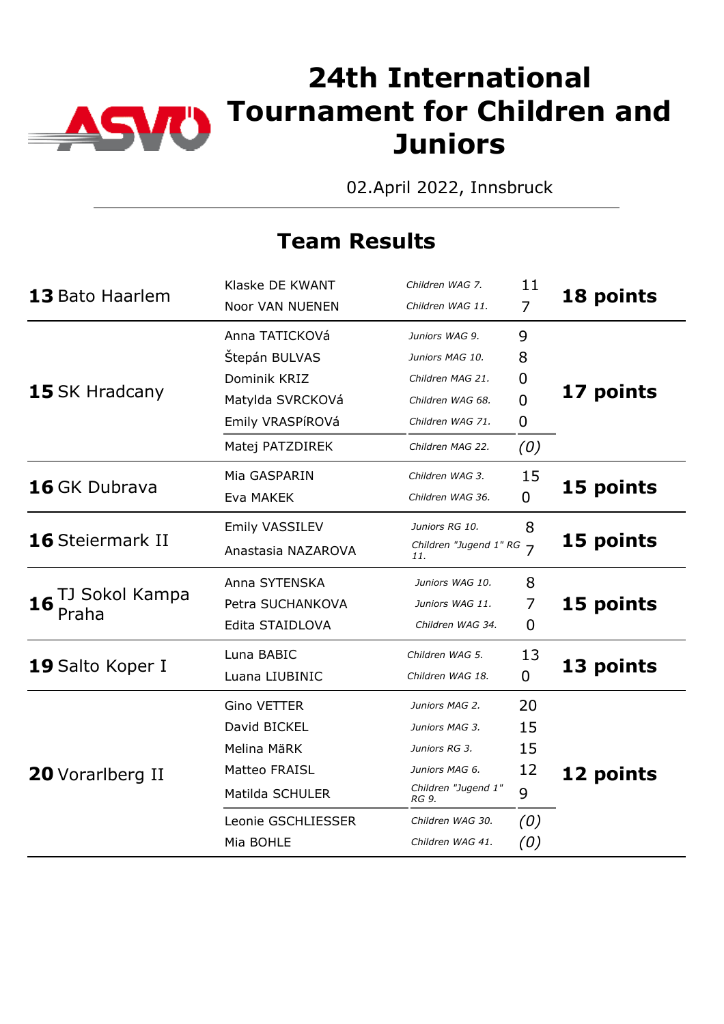

02.April 2022, Innsbruck

| 13 Bato Haarlem               | Klaske DE KWANT        | Children WAG 7.                 | 11             | 18 points |
|-------------------------------|------------------------|---------------------------------|----------------|-----------|
|                               | <b>Noor VAN NUENEN</b> | Children WAG 11.                | 7              |           |
|                               | Anna TATICKOVá         | Juniors WAG 9.                  | 9              |           |
|                               | Štepán BULVAS          | Juniors MAG 10.                 | 8              |           |
|                               | Dominik KRIZ           | Children MAG 21.                | 0              |           |
| 15 SK Hradcany                | Matylda SVRCKOVá       | Children WAG 68.                | $\overline{0}$ | 17 points |
|                               | Emily VRASPÍROVá       |                                 |                |           |
|                               | Matej PATZDIREK        | Children MAG 22.                | (0)            |           |
|                               | Mia GASPARIN           | Children WAG 3.                 | 15             |           |
| 16 GK Dubrava                 | Eva MAKEK              | Children WAG 36.                | $\Omega$       | 15 points |
|                               | Emily VASSILEV         | Juniors RG 10.                  | 8              |           |
| 16 Steiermark II              | Anastasia NAZAROVA     | Children "Jugend 1" RG 7<br>11. |                | 15 points |
|                               | Anna SYTENSKA          | Juniors WAG 10.                 | 8              |           |
| TJ Sokol Kampa<br>16<br>Praha | Petra SUCHANKOVA       | Juniors WAG 11.                 | 7              | 15 points |
|                               | Edita STAIDLOVA        | Children WAG 34.                | 0              |           |
|                               | Luna BABIC             | Children WAG 5.                 | 13             |           |
| 19 Salto Koper I              | Luana LIUBINIC         | Children WAG 18.                | 0              | 13 points |
|                               | <b>Gino VETTER</b>     | Juniors MAG 2.                  | 20             |           |
|                               | David BICKEL           | Juniors MAG 3.                  | 15             |           |
|                               | Melina MäRK            | Juniors RG 3.                   | 15             |           |
| <b>20</b> Vorarlberg II       | Matteo FRAISL          | Juniors MAG 6.                  | 12             | 12 points |
|                               | Matilda SCHULER        | Children "Jugend 1"<br>RG 9.    | 9              |           |
|                               | Leonie GSCHLIESSER     | Children WAG 30.                | (0)            |           |
|                               | Mia BOHLE              | Children WAG 41.                | (0)            |           |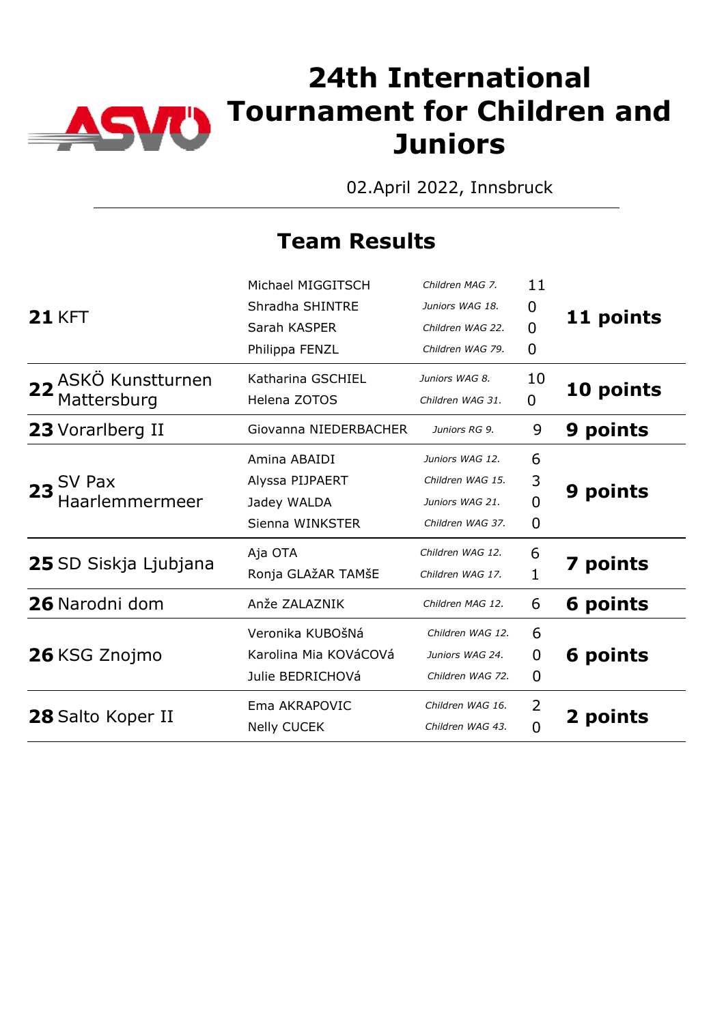

02.April 2022, Innsbruck

| Michael MIGGITSCH     | Children MAG 7.  | 11             |                 |
|-----------------------|------------------|----------------|-----------------|
| Shradha SHINTRE       | Juniors WAG 18.  | 0              |                 |
| Sarah KASPER          | Children WAG 22. | $\overline{0}$ | 11 points       |
| Philippa FENZL        | Children WAG 79. | 0              |                 |
| Katharina GSCHIEL     | Juniors WAG 8.   | 10             |                 |
| Helena ZOTOS          | Children WAG 31. | 0              | 10 points       |
| Giovanna NIEDERBACHER | Juniors RG 9.    | 9              | 9 points        |
| Amina ABAIDI          | Juniors WAG 12.  | 6              |                 |
| Alyssa PIJPAERT       | Children WAG 15. | 3              |                 |
| Jadey WALDA           | Juniors WAG 21.  | $\overline{0}$ | 9 points        |
| Sienna WINKSTER       | Children WAG 37. | $\Omega$       |                 |
| Aja OTA               | Children WAG 12. | 6              |                 |
| Ronja GLAžAR TAMŠE    | Children WAG 17. | 1              | <b>7 points</b> |
| Anže ZALAZNIK         | Children MAG 12. | 6              | 6 points        |
| Veronika KUBOŠNá      | Children WAG 12. | 6              |                 |
| Karolina Mia KOVáCOVá | Juniors WAG 24.  | 0              | 6 points        |
| Julie BEDRICHOVá      | Children WAG 72. | $\mathbf 0$    |                 |
| Ema AKRAPOVIC         | Children WAG 16. | 2              |                 |
| <b>Nelly CUCEK</b>    | Children WAG 43. | $\Omega$       | 2 points        |
|                       |                  |                |                 |